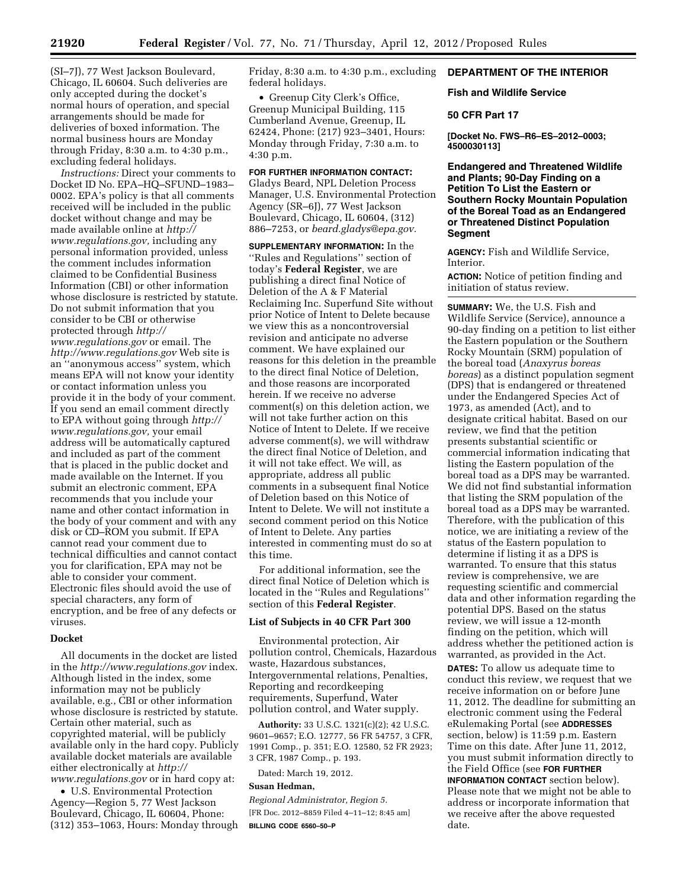(SI–7J), 77 West Jackson Boulevard, Chicago, IL 60604. Such deliveries are only accepted during the docket's normal hours of operation, and special arrangements should be made for deliveries of boxed information. The normal business hours are Monday through Friday, 8:30 a.m. to 4:30 p.m., excluding federal holidays.

*Instructions:* Direct your comments to Docket ID No. EPA–HQ–SFUND–1983– 0002. EPA's policy is that all comments received will be included in the public docket without change and may be made available online at *http:// www.regulations.gov,* including any personal information provided, unless the comment includes information claimed to be Confidential Business Information (CBI) or other information whose disclosure is restricted by statute. Do not submit information that you consider to be CBI or otherwise protected through *http:// www.regulations.gov* or email. The *http://www.regulations.gov* Web site is an ''anonymous access'' system, which means EPA will not know your identity or contact information unless you provide it in the body of your comment. If you send an email comment directly to EPA without going through *http:// www.regulations.gov,* your email address will be automatically captured and included as part of the comment that is placed in the public docket and made available on the Internet. If you submit an electronic comment, EPA recommends that you include your name and other contact information in the body of your comment and with any disk or CD–ROM you submit. If EPA cannot read your comment due to technical difficulties and cannot contact you for clarification, EPA may not be able to consider your comment. Electronic files should avoid the use of special characters, any form of encryption, and be free of any defects or viruses.

#### **Docket**

All documents in the docket are listed in the *http://www.regulations.gov* index. Although listed in the index, some information may not be publicly available, e.g., CBI or other information whose disclosure is restricted by statute. Certain other material, such as copyrighted material, will be publicly available only in the hard copy. Publicly available docket materials are available either electronically at *http:// www.regulations.gov* or in hard copy at:

• U.S. Environmental Protection Agency—Region 5, 77 West Jackson Boulevard, Chicago, IL 60604, Phone: (312) 353–1063, Hours: Monday through Friday, 8:30 a.m. to 4:30 p.m., excluding federal holidays.

• Greenup City Clerk's Office, Greenup Municipal Building, 115 Cumberland Avenue, Greenup, IL 62424, Phone: (217) 923–3401, Hours: Monday through Friday, 7:30 a.m. to 4:30 p.m.

**FOR FURTHER INFORMATION CONTACT:** Gladys Beard, NPL Deletion Process Manager, U.S. Environmental Protection Agency (SR–6J), 77 West Jackson Boulevard, Chicago, IL 60604, (312) 886–7253, or *beard.gladys@epa.gov.*

**SUPPLEMENTARY INFORMATION:** In the ''Rules and Regulations'' section of today's **Federal Register**, we are publishing a direct final Notice of Deletion of the A & F Material Reclaiming Inc. Superfund Site without prior Notice of Intent to Delete because we view this as a noncontroversial revision and anticipate no adverse comment. We have explained our reasons for this deletion in the preamble to the direct final Notice of Deletion, and those reasons are incorporated herein. If we receive no adverse comment(s) on this deletion action, we will not take further action on this Notice of Intent to Delete. If we receive adverse comment(s), we will withdraw the direct final Notice of Deletion, and it will not take effect. We will, as appropriate, address all public comments in a subsequent final Notice of Deletion based on this Notice of Intent to Delete. We will not institute a second comment period on this Notice of Intent to Delete. Any parties interested in commenting must do so at this time.

For additional information, see the direct final Notice of Deletion which is located in the ''Rules and Regulations'' section of this **Federal Register**.

# **List of Subjects in 40 CFR Part 300**

Environmental protection, Air pollution control, Chemicals, Hazardous waste, Hazardous substances, Intergovernmental relations, Penalties, Reporting and recordkeeping requirements, Superfund, Water pollution control, and Water supply.

**Authority:** 33 U.S.C. 1321(c)(2); 42 U.S.C. 9601–9657; E.O. 12777, 56 FR 54757, 3 CFR, 1991 Comp., p. 351; E.O. 12580, 52 FR 2923; 3 CFR, 1987 Comp., p. 193.

Dated: March 19, 2012.

#### **Susan Hedman,**

*Regional Administrator, Region 5.*  [FR Doc. 2012–8859 Filed 4–11–12; 8:45 am] **BILLING CODE 6560–50–P** 

# **DEPARTMENT OF THE INTERIOR**

## **Fish and Wildlife Service**

### **50 CFR Part 17**

**[Docket No. FWS–R6–ES–2012–0003; 4500030113]**

**Endangered and Threatened Wildlife and Plants; 90-Day Finding on a Petition To List the Eastern or Southern Rocky Mountain Population of the Boreal Toad as an Endangered or Threatened Distinct Population Segment**

**AGENCY:** Fish and Wildlife Service, Interior.

**ACTION:** Notice of petition finding and initiation of status review.

**SUMMARY:** We, the U.S. Fish and Wildlife Service (Service), announce a 90-day finding on a petition to list either the Eastern population or the Southern Rocky Mountain (SRM) population of the boreal toad (*Anaxyrus boreas boreas*) as a distinct population segment (DPS) that is endangered or threatened under the Endangered Species Act of 1973, as amended (Act), and to designate critical habitat. Based on our review, we find that the petition presents substantial scientific or commercial information indicating that listing the Eastern population of the boreal toad as a DPS may be warranted. We did not find substantial information that listing the SRM population of the boreal toad as a DPS may be warranted. Therefore, with the publication of this notice, we are initiating a review of the status of the Eastern population to determine if listing it as a DPS is warranted. To ensure that this status review is comprehensive, we are requesting scientific and commercial data and other information regarding the potential DPS. Based on the status review, we will issue a 12-month finding on the petition, which will address whether the petitioned action is warranted, as provided in the Act.

**DATES:** To allow us adequate time to conduct this review, we request that we receive information on or before June 11, 2012. The deadline for submitting an electronic comment using the Federal eRulemaking Portal (see **ADDRESSES** section, below) is 11:59 p.m. Eastern Time on this date. After June 11, 2012, you must submit information directly to the Field Office (see **FOR FURTHER INFORMATION CONTACT** section below). Please note that we might not be able to address or incorporate information that we receive after the above requested date.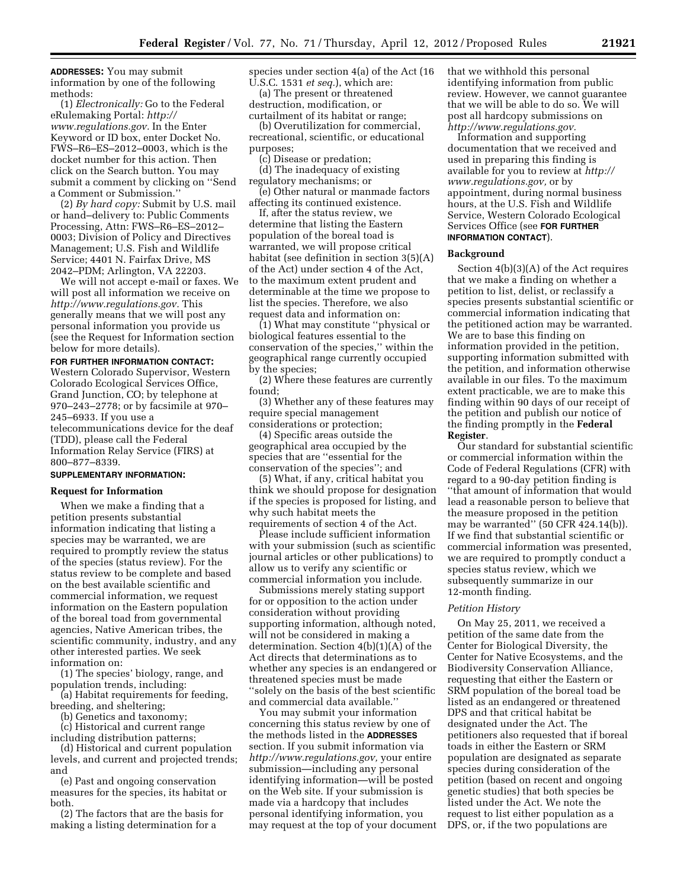**ADDRESSES:** You may submit information by one of the following methods:

(1) *Electronically:* Go to the Federal eRulemaking Portal: *http:// www.regulations.gov.* In the Enter Keyword or ID box, enter Docket No. FWS–R6–ES–2012–0003, which is the docket number for this action. Then click on the Search button. You may submit a comment by clicking on ''Send a Comment or Submission.''

(2) *By hard copy:* Submit by U.S. mail or hand–delivery to: Public Comments Processing, Attn: FWS–R6–ES–2012– 0003; Division of Policy and Directives Management; U.S. Fish and Wildlife Service; 4401 N. Fairfax Drive, MS 2042–PDM; Arlington, VA 22203.

We will not accept e-mail or faxes. We will post all information we receive on *http://www.regulations.gov.* This generally means that we will post any personal information you provide us (see the Request for Information section below for more details).

**FOR FURTHER INFORMATION CONTACT:** Western Colorado Supervisor, Western Colorado Ecological Services Office, Grand Junction, CO; by telephone at 970–243–2778; or by facsimile at 970– 245–6933. If you use a telecommunications device for the deaf (TDD), please call the Federal Information Relay Service (FIRS) at 800–877–8339.

### **SUPPLEMENTARY INFORMATION:**

### **Request for Information**

When we make a finding that a petition presents substantial information indicating that listing a species may be warranted, we are required to promptly review the status of the species (status review). For the status review to be complete and based on the best available scientific and commercial information, we request information on the Eastern population of the boreal toad from governmental agencies, Native American tribes, the scientific community, industry, and any other interested parties. We seek information on:

(1) The species' biology, range, and population trends, including:

(a) Habitat requirements for feeding, breeding, and sheltering;

(b) Genetics and taxonomy;

(c) Historical and current range including distribution patterns;

(d) Historical and current population levels, and current and projected trends; and

(e) Past and ongoing conservation measures for the species, its habitat or both.

(2) The factors that are the basis for making a listing determination for a

species under section 4(a) of the Act (16 U.S.C. 1531 *et seq.*), which are:

(a) The present or threatened destruction, modification, or

curtailment of its habitat or range; (b) Overutilization for commercial,

recreational, scientific, or educational purposes;

(c) Disease or predation;

(d) The inadequacy of existing regulatory mechanisms; or

(e) Other natural or manmade factors affecting its continued existence.

If, after the status review, we determine that listing the Eastern population of the boreal toad is warranted, we will propose critical habitat (see definition in section 3(5)(A) of the Act) under section 4 of the Act, to the maximum extent prudent and determinable at the time we propose to list the species. Therefore, we also request data and information on:

(1) What may constitute ''physical or biological features essential to the conservation of the species,'' within the geographical range currently occupied by the species;

(2) Where these features are currently found;

(3) Whether any of these features may require special management considerations or protection;

(4) Specific areas outside the geographical area occupied by the species that are ''essential for the conservation of the species''; and

(5) What, if any, critical habitat you think we should propose for designation if the species is proposed for listing, and why such habitat meets the requirements of section 4 of the Act.

Please include sufficient information with your submission (such as scientific journal articles or other publications) to allow us to verify any scientific or commercial information you include.

Submissions merely stating support for or opposition to the action under consideration without providing supporting information, although noted, will not be considered in making a determination. Section 4(b)(1)(A) of the Act directs that determinations as to whether any species is an endangered or threatened species must be made ''solely on the basis of the best scientific and commercial data available.''

You may submit your information concerning this status review by one of the methods listed in the **ADDRESSES** section. If you submit information via *http://www.regulations.gov,* your entire submission—including any personal identifying information—will be posted on the Web site. If your submission is made via a hardcopy that includes personal identifying information, you may request at the top of your document that we withhold this personal identifying information from public review. However, we cannot guarantee that we will be able to do so. We will post all hardcopy submissions on *http://www.regulations.gov.*

Information and supporting documentation that we received and used in preparing this finding is available for you to review at *http:// www.regulations.gov,* or by appointment, during normal business hours, at the U.S. Fish and Wildlife Service, Western Colorado Ecological Services Office (see **FOR FURTHER INFORMATION CONTACT**).

#### **Background**

Section 4(b)(3)(A) of the Act requires that we make a finding on whether a petition to list, delist, or reclassify a species presents substantial scientific or commercial information indicating that the petitioned action may be warranted. We are to base this finding on information provided in the petition, supporting information submitted with the petition, and information otherwise available in our files. To the maximum extent practicable, we are to make this finding within 90 days of our receipt of the petition and publish our notice of the finding promptly in the **Federal Register**.

Our standard for substantial scientific or commercial information within the Code of Federal Regulations (CFR) with regard to a 90-day petition finding is ''that amount of information that would lead a reasonable person to believe that the measure proposed in the petition may be warranted'' (50 CFR 424.14(b)). If we find that substantial scientific or commercial information was presented, we are required to promptly conduct a species status review, which we subsequently summarize in our 12-month finding.

#### *Petition History*

On May 25, 2011, we received a petition of the same date from the Center for Biological Diversity, the Center for Native Ecosystems, and the Biodiversity Conservation Alliance, requesting that either the Eastern or SRM population of the boreal toad be listed as an endangered or threatened DPS and that critical habitat be designated under the Act. The petitioners also requested that if boreal toads in either the Eastern or SRM population are designated as separate species during consideration of the petition (based on recent and ongoing genetic studies) that both species be listed under the Act. We note the request to list either population as a DPS, or, if the two populations are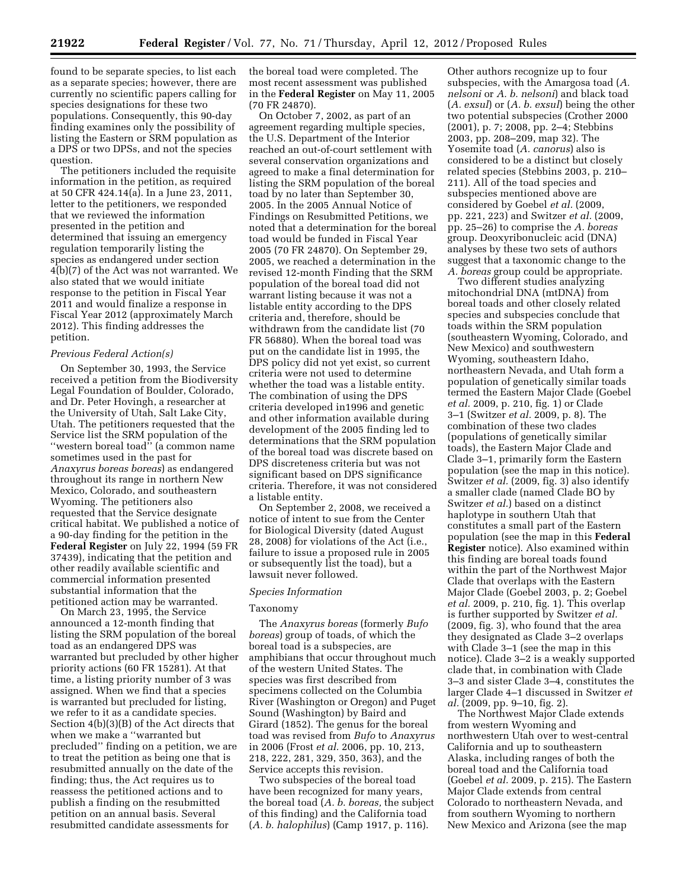found to be separate species, to list each as a separate species; however, there are currently no scientific papers calling for species designations for these two populations. Consequently, this 90-day finding examines only the possibility of listing the Eastern or SRM population as a DPS or two DPSs, and not the species question.

The petitioners included the requisite information in the petition, as required at 50 CFR 424.14(a). In a June 23, 2011, letter to the petitioners, we responded that we reviewed the information presented in the petition and determined that issuing an emergency regulation temporarily listing the species as endangered under section 4(b)(7) of the Act was not warranted. We also stated that we would initiate response to the petition in Fiscal Year 2011 and would finalize a response in Fiscal Year 2012 (approximately March 2012). This finding addresses the petition.

#### *Previous Federal Action(s)*

On September 30, 1993, the Service received a petition from the Biodiversity Legal Foundation of Boulder, Colorado, and Dr. Peter Hovingh, a researcher at the University of Utah, Salt Lake City, Utah. The petitioners requested that the Service list the SRM population of the ''western boreal toad'' (a common name sometimes used in the past for *Anaxyrus boreas boreas*) as endangered throughout its range in northern New Mexico, Colorado, and southeastern Wyoming. The petitioners also requested that the Service designate critical habitat. We published a notice of a 90-day finding for the petition in the **Federal Register** on July 22, 1994 (59 FR 37439), indicating that the petition and other readily available scientific and commercial information presented substantial information that the petitioned action may be warranted.

On March 23, 1995, the Service announced a 12-month finding that listing the SRM population of the boreal toad as an endangered DPS was warranted but precluded by other higher priority actions (60 FR 15281). At that time, a listing priority number of 3 was assigned. When we find that a species is warranted but precluded for listing, we refer to it as a candidate species. Section 4(b)(3)(B) of the Act directs that when we make a ''warranted but precluded'' finding on a petition, we are to treat the petition as being one that is resubmitted annually on the date of the finding; thus, the Act requires us to reassess the petitioned actions and to publish a finding on the resubmitted petition on an annual basis. Several resubmitted candidate assessments for

the boreal toad were completed. The most recent assessment was published in the **Federal Register** on May 11, 2005 (70 FR 24870).

On October 7, 2002, as part of an agreement regarding multiple species, the U.S. Department of the Interior reached an out-of-court settlement with several conservation organizations and agreed to make a final determination for listing the SRM population of the boreal toad by no later than September 30, 2005. In the 2005 Annual Notice of Findings on Resubmitted Petitions, we noted that a determination for the boreal toad would be funded in Fiscal Year 2005 (70 FR 24870). On September 29, 2005, we reached a determination in the revised 12-month Finding that the SRM population of the boreal toad did not warrant listing because it was not a listable entity according to the DPS criteria and, therefore, should be withdrawn from the candidate list (70 FR 56880). When the boreal toad was put on the candidate list in 1995, the DPS policy did not yet exist, so current criteria were not used to determine whether the toad was a listable entity. The combination of using the DPS criteria developed in1996 and genetic and other information available during development of the 2005 finding led to determinations that the SRM population of the boreal toad was discrete based on DPS discreteness criteria but was not significant based on DPS significance criteria. Therefore, it was not considered a listable entity.

On September 2, 2008, we received a notice of intent to sue from the Center for Biological Diversity (dated August 28, 2008) for violations of the Act (i.e., failure to issue a proposed rule in 2005 or subsequently list the toad), but a lawsuit never followed.

#### *Species Information*

## Taxonomy

The *Anaxyrus boreas* (formerly *Bufo boreas*) group of toads, of which the boreal toad is a subspecies, are amphibians that occur throughout much of the western United States. The species was first described from specimens collected on the Columbia River (Washington or Oregon) and Puget Sound (Washington) by Baird and Girard (1852). The genus for the boreal toad was revised from *Bufo* to *Anaxyrus* in 2006 (Frost *et al.* 2006, pp. 10, 213, 218, 222, 281, 329, 350, 363), and the Service accepts this revision.

Two subspecies of the boreal toad have been recognized for many years, the boreal toad (*A. b. boreas,* the subject of this finding) and the California toad (*A. b. halophilus*) (Camp 1917, p. 116).

Other authors recognize up to four subspecies, with the Amargosa toad (*A. nelsoni* or *A. b. nelsoni*) and black toad (*A. exsul*) or (*A. b. exsul*) being the other two potential subspecies (Crother 2000 (2001), p. 7; 2008, pp. 2–4; Stebbins 2003, pp. 208–209, map 32). The Yosemite toad (*A. canorus*) also is considered to be a distinct but closely related species (Stebbins 2003, p. 210– 211). All of the toad species and subspecies mentioned above are considered by Goebel *et al.* (2009, pp. 221, 223) and Switzer *et al.* (2009, pp. 25–26) to comprise the *A. boreas*  group. Deoxyribonucleic acid (DNA) analyses by these two sets of authors suggest that a taxonomic change to the *A. boreas* group could be appropriate.

Two different studies analyzing mitochondrial DNA (mtDNA) from boreal toads and other closely related species and subspecies conclude that toads within the SRM population (southeastern Wyoming, Colorado, and New Mexico) and southwestern Wyoming, southeastern Idaho, northeastern Nevada, and Utah form a population of genetically similar toads termed the Eastern Major Clade (Goebel *et al.* 2009, p. 210, fig. 1) or Clade 3–1 (Switzer *et al.* 2009, p. 8). The combination of these two clades (populations of genetically similar toads), the Eastern Major Clade and Clade 3–1, primarily form the Eastern population (see the map in this notice). Switzer *et al.* (2009, fig. 3) also identify a smaller clade (named Clade BO by Switzer *et al.*) based on a distinct haplotype in southern Utah that constitutes a small part of the Eastern population (see the map in this **Federal Register** notice). Also examined within this finding are boreal toads found within the part of the Northwest Major Clade that overlaps with the Eastern Major Clade (Goebel 2003, p. 2; Goebel *et al.* 2009, p. 210, fig. 1). This overlap is further supported by Switzer *et al.*  (2009, fig. 3), who found that the area they designated as Clade 3–2 overlaps with Clade 3–1 (see the map in this notice). Clade 3–2 is a weakly supported clade that, in combination with Clade 3–3 and sister Clade 3–4, constitutes the larger Clade 4–1 discussed in Switzer *et al.* (2009, pp. 9–10, fig. 2).

The Northwest Major Clade extends from western Wyoming and northwestern Utah over to west-central California and up to southeastern Alaska, including ranges of both the boreal toad and the California toad (Goebel *et al.* 2009, p. 215). The Eastern Major Clade extends from central Colorado to northeastern Nevada, and from southern Wyoming to northern New Mexico and Arizona (see the map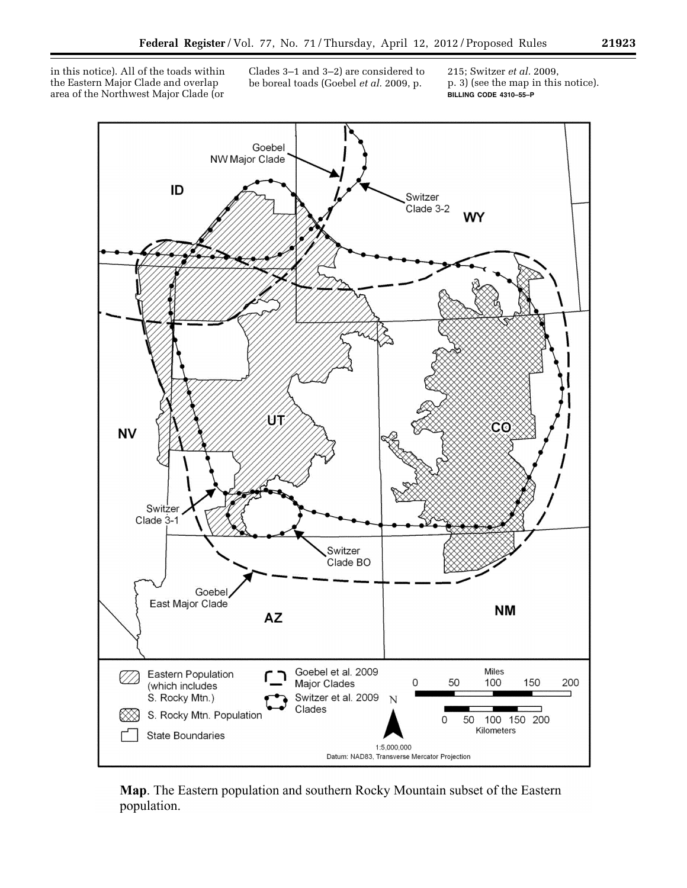in this notice). All of the toads within the Eastern Major Clade and overlap area of the Northwest Major Clade (or Clades 3–1 and 3–2) are considered to be boreal toads (Goebel *et al.* 2009, p.

215; Switzer *et al.* 2009, p. 3) (see the map in this notice). **BILLING CODE 4310–55–P** 



Map. The Eastern population and southern Rocky Mountain subset of the Eastern population.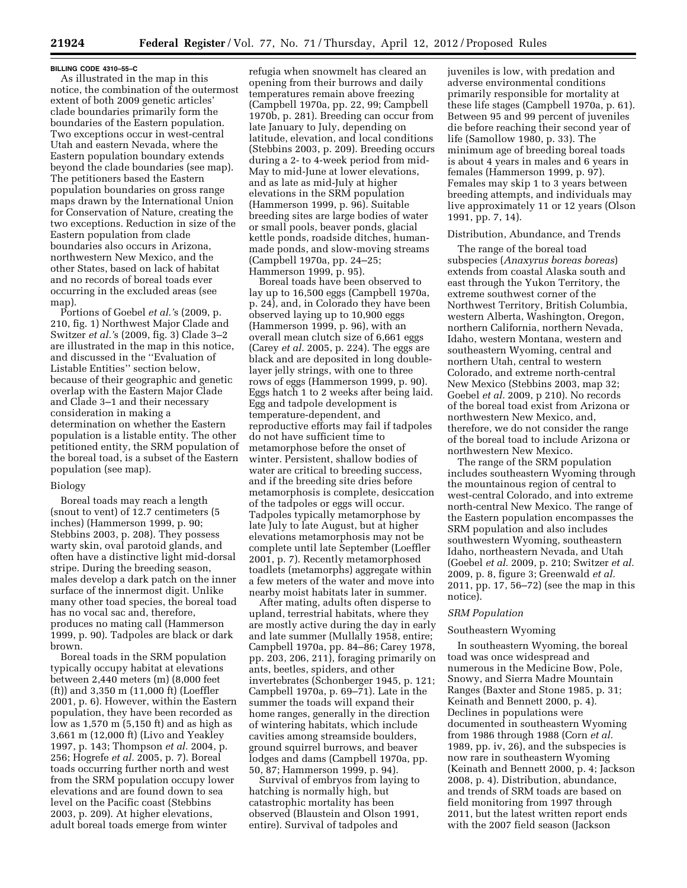# **BILLING CODE 4310–55–C**

As illustrated in the map in this notice, the combination of the outermost extent of both 2009 genetic articles' clade boundaries primarily form the boundaries of the Eastern population. Two exceptions occur in west-central Utah and eastern Nevada, where the Eastern population boundary extends beyond the clade boundaries (see map). The petitioners based the Eastern population boundaries on gross range maps drawn by the International Union for Conservation of Nature, creating the two exceptions. Reduction in size of the Eastern population from clade boundaries also occurs in Arizona, northwestern New Mexico, and the other States, based on lack of habitat and no records of boreal toads ever occurring in the excluded areas (see map).

Portions of Goebel *et al.'*s (2009, p. 210, fig. 1) Northwest Major Clade and Switzer *et al.'*s (2009, fig. 3) Clade 3–2 are illustrated in the map in this notice, and discussed in the ''Evaluation of Listable Entities'' section below, because of their geographic and genetic overlap with the Eastern Major Clade and Clade 3–1 and their necessary consideration in making a determination on whether the Eastern population is a listable entity. The other petitioned entity, the SRM population of the boreal toad, is a subset of the Eastern population (see map).

## Biology

Boreal toads may reach a length (snout to vent) of 12.7 centimeters (5 inches) (Hammerson 1999, p. 90; Stebbins 2003, p. 208). They possess warty skin, oval parotoid glands, and often have a distinctive light mid-dorsal stripe. During the breeding season, males develop a dark patch on the inner surface of the innermost digit. Unlike many other toad species, the boreal toad has no vocal sac and, therefore, produces no mating call (Hammerson 1999, p. 90). Tadpoles are black or dark brown.

Boreal toads in the SRM population typically occupy habitat at elevations between 2,440 meters (m) (8,000 feet (ft)) and 3,350 m (11,000 ft) (Loeffler 2001, p. 6). However, within the Eastern population, they have been recorded as low as 1,570 m (5,150 ft) and as high as 3,661 m (12,000 ft) (Livo and Yeakley 1997, p. 143; Thompson *et al.* 2004, p. 256; Hogrefe *et al.* 2005, p. 7). Boreal toads occurring further north and west from the SRM population occupy lower elevations and are found down to sea level on the Pacific coast (Stebbins 2003, p. 209). At higher elevations, adult boreal toads emerge from winter

refugia when snowmelt has cleared an opening from their burrows and daily temperatures remain above freezing (Campbell 1970a, pp. 22, 99; Campbell 1970b, p. 281). Breeding can occur from late January to July, depending on latitude, elevation, and local conditions (Stebbins 2003, p. 209). Breeding occurs during a 2- to 4-week period from mid-May to mid-June at lower elevations, and as late as mid-July at higher elevations in the SRM population (Hammerson 1999, p. 96). Suitable breeding sites are large bodies of water or small pools, beaver ponds, glacial kettle ponds, roadside ditches, humanmade ponds, and slow-moving streams (Campbell 1970a, pp. 24–25; Hammerson 1999, p. 95).

Boreal toads have been observed to lay up to 16,500 eggs (Campbell 1970a, p. 24), and, in Colorado they have been observed laying up to 10,900 eggs (Hammerson 1999, p. 96), with an overall mean clutch size of 6,661 eggs (Carey *et al.* 2005, p. 224). The eggs are black and are deposited in long doublelayer jelly strings, with one to three rows of eggs (Hammerson 1999, p. 90). Eggs hatch 1 to 2 weeks after being laid. Egg and tadpole development is temperature-dependent, and reproductive efforts may fail if tadpoles do not have sufficient time to metamorphose before the onset of winter. Persistent, shallow bodies of water are critical to breeding success, and if the breeding site dries before metamorphosis is complete, desiccation of the tadpoles or eggs will occur. Tadpoles typically metamorphose by late July to late August, but at higher elevations metamorphosis may not be complete until late September (Loeffler 2001, p. 7). Recently metamorphosed toadlets (metamorphs) aggregate within a few meters of the water and move into nearby moist habitats later in summer.

After mating, adults often disperse to upland, terrestrial habitats, where they are mostly active during the day in early and late summer (Mullally 1958, entire; Campbell 1970a, pp. 84–86; Carey 1978, pp. 203, 206, 211), foraging primarily on ants, beetles, spiders, and other invertebrates (Schonberger 1945, p. 121; Campbell 1970a, p. 69–71). Late in the summer the toads will expand their home ranges, generally in the direction of wintering habitats, which include cavities among streamside boulders, ground squirrel burrows, and beaver lodges and dams (Campbell 1970a, pp. 50, 87; Hammerson 1999, p. 94).

Survival of embryos from laying to hatching is normally high, but catastrophic mortality has been observed (Blaustein and Olson 1991, entire). Survival of tadpoles and

juveniles is low, with predation and adverse environmental conditions primarily responsible for mortality at these life stages (Campbell 1970a, p. 61). Between 95 and 99 percent of juveniles die before reaching their second year of life (Samollow 1980, p. 33). The minimum age of breeding boreal toads is about 4 years in males and 6 years in females (Hammerson 1999, p. 97). Females may skip 1 to 3 years between breeding attempts, and individuals may live approximately 11 or 12 years (Olson 1991, pp. 7, 14).

### Distribution, Abundance, and Trends

The range of the boreal toad subspecies (*Anaxyrus boreas boreas*) extends from coastal Alaska south and east through the Yukon Territory, the extreme southwest corner of the Northwest Territory, British Columbia, western Alberta, Washington, Oregon, northern California, northern Nevada, Idaho, western Montana, western and southeastern Wyoming, central and northern Utah, central to western Colorado, and extreme north-central New Mexico (Stebbins 2003, map 32; Goebel *et al.* 2009, p 210). No records of the boreal toad exist from Arizona or northwestern New Mexico, and, therefore, we do not consider the range of the boreal toad to include Arizona or northwestern New Mexico.

The range of the SRM population includes southeastern Wyoming through the mountainous region of central to west-central Colorado, and into extreme north-central New Mexico. The range of the Eastern population encompasses the SRM population and also includes southwestern Wyoming, southeastern Idaho, northeastern Nevada, and Utah (Goebel *et al.* 2009, p. 210; Switzer *et al.*  2009, p. 8, figure 3; Greenwald *et al.*  2011, pp. 17, 56–72) (see the map in this notice).

#### *SRM Population*

#### Southeastern Wyoming

In southeastern Wyoming, the boreal toad was once widespread and numerous in the Medicine Bow, Pole, Snowy, and Sierra Madre Mountain Ranges (Baxter and Stone 1985, p. 31; Keinath and Bennett 2000, p. 4). Declines in populations were documented in southeastern Wyoming from 1986 through 1988 (Corn *et al.*  1989, pp. iv, 26), and the subspecies is now rare in southeastern Wyoming (Keinath and Bennett 2000, p. 4; Jackson 2008, p. 4). Distribution, abundance, and trends of SRM toads are based on field monitoring from 1997 through 2011, but the latest written report ends with the 2007 field season (Jackson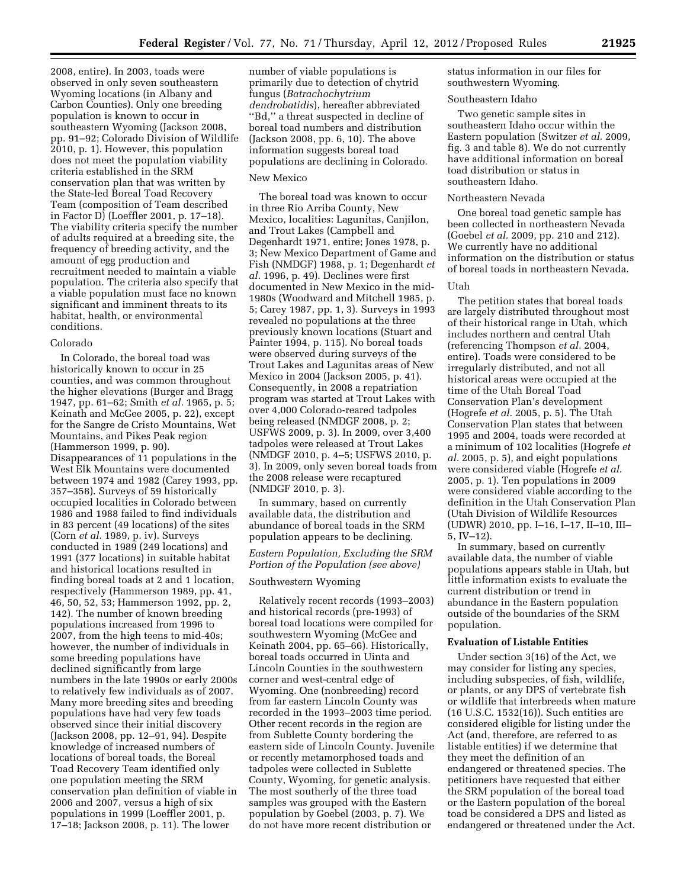2008, entire). In 2003, toads were observed in only seven southeastern Wyoming locations (in Albany and Carbon Counties). Only one breeding population is known to occur in southeastern Wyoming (Jackson 2008, pp. 91–92; Colorado Division of Wildlife 2010, p. 1). However, this population does not meet the population viability criteria established in the SRM conservation plan that was written by the State-led Boreal Toad Recovery Team (composition of Team described in Factor D) (Loeffler 2001, p. 17–18). The viability criteria specify the number of adults required at a breeding site, the frequency of breeding activity, and the amount of egg production and recruitment needed to maintain a viable population. The criteria also specify that a viable population must face no known significant and imminent threats to its habitat, health, or environmental conditions.

# Colorado

In Colorado, the boreal toad was historically known to occur in 25 counties, and was common throughout the higher elevations (Burger and Bragg 1947, pp. 61–62; Smith *et al.* 1965, p. 5; Keinath and McGee 2005, p. 22), except for the Sangre de Cristo Mountains, Wet Mountains, and Pikes Peak region (Hammerson 1999, p. 90). Disappearances of 11 populations in the West Elk Mountains were documented between 1974 and 1982 (Carey 1993, pp. 357–358). Surveys of 59 historically occupied localities in Colorado between 1986 and 1988 failed to find individuals in 83 percent (49 locations) of the sites (Corn *et al.* 1989, p. iv). Surveys conducted in 1989 (249 locations) and 1991 (377 locations) in suitable habitat and historical locations resulted in finding boreal toads at 2 and 1 location, respectively (Hammerson 1989, pp. 41, 46, 50, 52, 53; Hammerson 1992, pp. 2, 142). The number of known breeding populations increased from 1996 to 2007, from the high teens to mid-40s; however, the number of individuals in some breeding populations have declined significantly from large numbers in the late 1990s or early 2000s to relatively few individuals as of 2007. Many more breeding sites and breeding populations have had very few toads observed since their initial discovery (Jackson 2008, pp. 12–91, 94). Despite knowledge of increased numbers of locations of boreal toads, the Boreal Toad Recovery Team identified only one population meeting the SRM conservation plan definition of viable in 2006 and 2007, versus a high of six populations in 1999 (Loeffler 2001, p. 17–18; Jackson 2008, p. 11). The lower

number of viable populations is primarily due to detection of chytrid fungus (*Batrachochytrium dendrobatidis*), hereafter abbreviated ''Bd,'' a threat suspected in decline of boreal toad numbers and distribution (Jackson 2008, pp. 6, 10). The above information suggests boreal toad populations are declining in Colorado.

### New Mexico

The boreal toad was known to occur in three Rio Arriba County, New Mexico, localities: Lagunitas, Canjilon, and Trout Lakes (Campbell and Degenhardt 1971, entire; Jones 1978, p. 3; New Mexico Department of Game and Fish (NMDGF) 1988, p. 1; Degenhardt *et al.* 1996, p. 49). Declines were first documented in New Mexico in the mid-1980s (Woodward and Mitchell 1985, p. 5; Carey 1987, pp. 1, 3). Surveys in 1993 revealed no populations at the three previously known locations (Stuart and Painter 1994, p. 115). No boreal toads were observed during surveys of the Trout Lakes and Lagunitas areas of New Mexico in 2004 (Jackson 2005, p. 41). Consequently, in 2008 a repatriation program was started at Trout Lakes with over 4,000 Colorado-reared tadpoles being released (NMDGF 2008, p. 2; USFWS 2009, p. 3). In 2009, over 3,400 tadpoles were released at Trout Lakes (NMDGF 2010, p. 4–5; USFWS 2010, p. 3). In 2009, only seven boreal toads from the 2008 release were recaptured (NMDGF 2010, p. 3).

In summary, based on currently available data, the distribution and abundance of boreal toads in the SRM population appears to be declining.

## *Eastern Population, Excluding the SRM Portion of the Population (see above)*

#### Southwestern Wyoming

Relatively recent records (1993–2003) and historical records (pre-1993) of boreal toad locations were compiled for southwestern Wyoming (McGee and Keinath 2004, pp. 65–66). Historically, boreal toads occurred in Uinta and Lincoln Counties in the southwestern corner and west-central edge of Wyoming. One (nonbreeding) record from far eastern Lincoln County was recorded in the 1993–2003 time period. Other recent records in the region are from Sublette County bordering the eastern side of Lincoln County. Juvenile or recently metamorphosed toads and tadpoles were collected in Sublette County, Wyoming, for genetic analysis. The most southerly of the three toad samples was grouped with the Eastern population by Goebel (2003, p. 7). We do not have more recent distribution or

status information in our files for southwestern Wyoming.

#### Southeastern Idaho

Two genetic sample sites in southeastern Idaho occur within the Eastern population (Switzer *et al.* 2009, fig. 3 and table 8). We do not currently have additional information on boreal toad distribution or status in southeastern Idaho.

### Northeastern Nevada

One boreal toad genetic sample has been collected in northeastern Nevada (Goebel *et al.* 2009, pp. 210 and 212). We currently have no additional information on the distribution or status of boreal toads in northeastern Nevada.

### Utah

The petition states that boreal toads are largely distributed throughout most of their historical range in Utah, which includes northern and central Utah (referencing Thompson *et al.* 2004, entire). Toads were considered to be irregularly distributed, and not all historical areas were occupied at the time of the Utah Boreal Toad Conservation Plan's development (Hogrefe *et al.* 2005, p. 5). The Utah Conservation Plan states that between 1995 and 2004, toads were recorded at a minimum of 102 localities (Hogrefe *et al.* 2005, p. 5), and eight populations were considered viable (Hogrefe *et al.*  2005, p. 1). Ten populations in 2009 were considered viable according to the definition in the Utah Conservation Plan (Utah Division of Wildlife Resources (UDWR) 2010, pp. I–16, I–17, II–10, III– 5, IV–12).

In summary, based on currently available data, the number of viable populations appears stable in Utah, but little information exists to evaluate the current distribution or trend in abundance in the Eastern population outside of the boundaries of the SRM population.

### **Evaluation of Listable Entities**

Under section 3(16) of the Act, we may consider for listing any species, including subspecies, of fish, wildlife, or plants, or any DPS of vertebrate fish or wildlife that interbreeds when mature (16 U.S.C. 1532(16)). Such entities are considered eligible for listing under the Act (and, therefore, are referred to as listable entities) if we determine that they meet the definition of an endangered or threatened species. The petitioners have requested that either the SRM population of the boreal toad or the Eastern population of the boreal toad be considered a DPS and listed as endangered or threatened under the Act.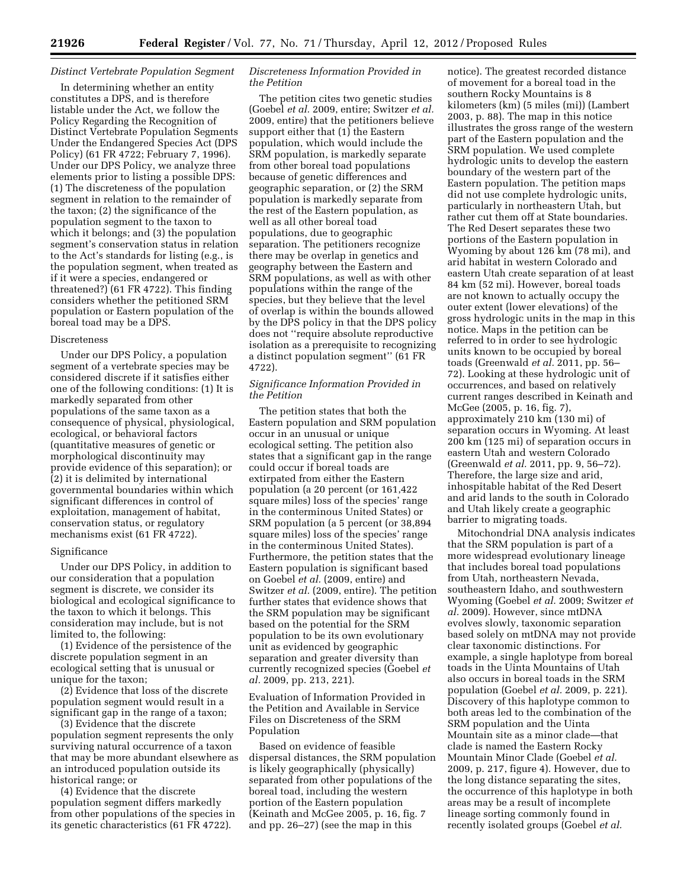# *Distinct Vertebrate Population Segment*

In determining whether an entity constitutes a DPS, and is therefore listable under the Act, we follow the Policy Regarding the Recognition of Distinct Vertebrate Population Segments Under the Endangered Species Act (DPS Policy) (61 FR 4722; February 7, 1996). Under our DPS Policy, we analyze three elements prior to listing a possible DPS: (1) The discreteness of the population segment in relation to the remainder of the taxon; (2) the significance of the population segment to the taxon to which it belongs; and (3) the population segment's conservation status in relation to the Act's standards for listing (e.g., is the population segment, when treated as if it were a species, endangered or threatened?) (61 FR 4722). This finding considers whether the petitioned SRM population or Eastern population of the boreal toad may be a DPS.

#### Discreteness

Under our DPS Policy, a population segment of a vertebrate species may be considered discrete if it satisfies either one of the following conditions: (1) It is markedly separated from other populations of the same taxon as a consequence of physical, physiological, ecological, or behavioral factors (quantitative measures of genetic or morphological discontinuity may provide evidence of this separation); or (2) it is delimited by international governmental boundaries within which significant differences in control of exploitation, management of habitat, conservation status, or regulatory mechanisms exist (61 FR 4722).

#### Significance

Under our DPS Policy, in addition to our consideration that a population segment is discrete, we consider its biological and ecological significance to the taxon to which it belongs. This consideration may include, but is not limited to, the following:

(1) Evidence of the persistence of the discrete population segment in an ecological setting that is unusual or unique for the taxon;

(2) Evidence that loss of the discrete population segment would result in a significant gap in the range of a taxon;

(3) Evidence that the discrete population segment represents the only surviving natural occurrence of a taxon that may be more abundant elsewhere as an introduced population outside its historical range; or

(4) Evidence that the discrete population segment differs markedly from other populations of the species in its genetic characteristics (61 FR 4722).

### *Discreteness Information Provided in the Petition*

The petition cites two genetic studies (Goebel *et al.* 2009, entire; Switzer *et al.*  2009, entire) that the petitioners believe support either that (1) the Eastern population, which would include the SRM population, is markedly separate from other boreal toad populations because of genetic differences and geographic separation, or (2) the SRM population is markedly separate from the rest of the Eastern population, as well as all other boreal toad populations, due to geographic separation. The petitioners recognize there may be overlap in genetics and geography between the Eastern and SRM populations, as well as with other populations within the range of the species, but they believe that the level of overlap is within the bounds allowed by the DPS policy in that the DPS policy does not ''require absolute reproductive isolation as a prerequisite to recognizing a distinct population segment'' (61 FR 4722).

## *Significance Information Provided in the Petition*

The petition states that both the Eastern population and SRM population occur in an unusual or unique ecological setting. The petition also states that a significant gap in the range could occur if boreal toads are extirpated from either the Eastern population (a 20 percent (or 161,422 square miles) loss of the species' range in the conterminous United States) or SRM population (a 5 percent (or 38,894 square miles) loss of the species' range in the conterminous United States). Furthermore, the petition states that the Eastern population is significant based on Goebel *et al.* (2009, entire) and Switzer *et al.* (2009, entire). The petition further states that evidence shows that the SRM population may be significant based on the potential for the SRM population to be its own evolutionary unit as evidenced by geographic separation and greater diversity than currently recognized species (Goebel *et al.* 2009, pp. 213, 221).

Evaluation of Information Provided in the Petition and Available in Service Files on Discreteness of the SRM Population

Based on evidence of feasible dispersal distances, the SRM population is likely geographically (physically) separated from other populations of the boreal toad, including the western portion of the Eastern population (Keinath and McGee 2005, p. 16, fig. 7 and pp. 26–27) (see the map in this

notice). The greatest recorded distance of movement for a boreal toad in the southern Rocky Mountains is 8 kilometers (km) (5 miles (mi)) (Lambert 2003, p. 88). The map in this notice illustrates the gross range of the western part of the Eastern population and the SRM population. We used complete hydrologic units to develop the eastern boundary of the western part of the Eastern population. The petition maps did not use complete hydrologic units, particularly in northeastern Utah, but rather cut them off at State boundaries. The Red Desert separates these two portions of the Eastern population in Wyoming by about 126 km (78 mi), and arid habitat in western Colorado and eastern Utah create separation of at least 84 km (52 mi). However, boreal toads are not known to actually occupy the outer extent (lower elevations) of the gross hydrologic units in the map in this notice. Maps in the petition can be referred to in order to see hydrologic units known to be occupied by boreal toads (Greenwald *et al.* 2011, pp. 56– 72). Looking at these hydrologic unit of occurrences, and based on relatively current ranges described in Keinath and McGee (2005, p. 16, fig. 7), approximately 210 km (130 mi) of separation occurs in Wyoming. At least 200 km (125 mi) of separation occurs in eastern Utah and western Colorado (Greenwald *et al.* 2011, pp. 9, 56–72). Therefore, the large size and arid, inhospitable habitat of the Red Desert and arid lands to the south in Colorado and Utah likely create a geographic barrier to migrating toads.

Mitochondrial DNA analysis indicates that the SRM population is part of a more widespread evolutionary lineage that includes boreal toad populations from Utah, northeastern Nevada, southeastern Idaho, and southwestern Wyoming (Goebel *et al.* 2009; Switzer *et al.* 2009). However, since mtDNA evolves slowly, taxonomic separation based solely on mtDNA may not provide clear taxonomic distinctions. For example, a single haplotype from boreal toads in the Uinta Mountains of Utah also occurs in boreal toads in the SRM population (Goebel *et al.* 2009, p. 221). Discovery of this haplotype common to both areas led to the combination of the SRM population and the Uinta Mountain site as a minor clade—that clade is named the Eastern Rocky Mountain Minor Clade (Goebel *et al.*  2009, p. 217, figure 4). However, due to the long distance separating the sites, the occurrence of this haplotype in both areas may be a result of incomplete lineage sorting commonly found in recently isolated groups (Goebel *et al.*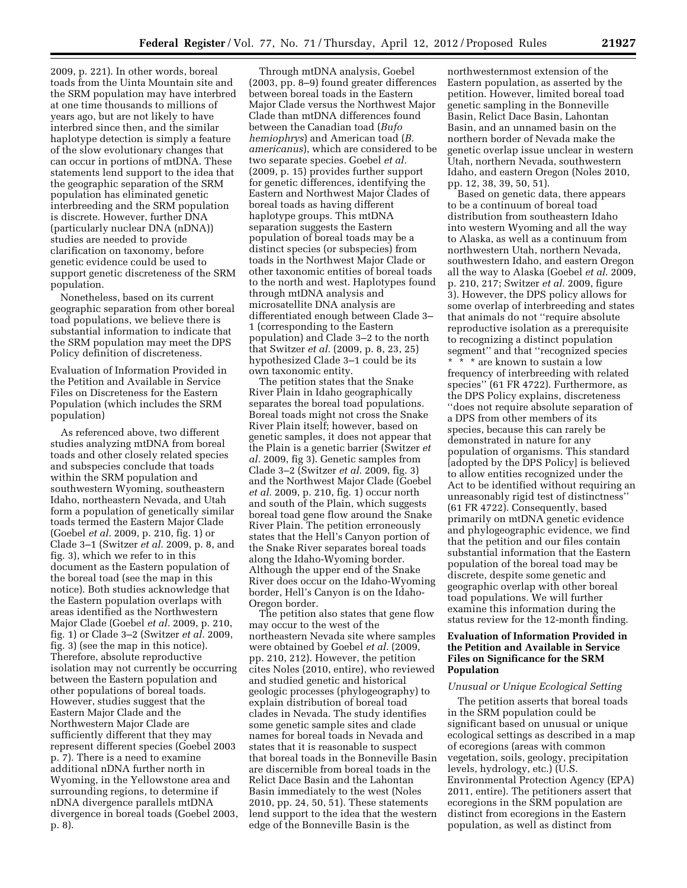2009, p. 221). In other words, boreal toads from the Uinta Mountain site and the SRM population may have interbred at one time thousands to millions of years ago, but are not likely to have interbred since then, and the similar haplotype detection is simply a feature of the slow evolutionary changes that can occur in portions of mtDNA. These statements lend support to the idea that the geographic separation of the SRM population has eliminated genetic interbreeding and the SRM population is discrete. However, further DNA (particularly nuclear DNA (nDNA)) studies are needed to provide clarification on taxonomy, before genetic evidence could be used to support genetic discreteness of the SRM population.

Nonetheless, based on its current geographic separation from other boreal toad populations, we believe there is substantial information to indicate that the SRM population may meet the DPS Policy definition of discreteness.

Evaluation of Information Provided in the Petition and Available in Service Files on Discreteness for the Eastern Population (which includes the SRM population)

As referenced above, two different studies analyzing mtDNA from boreal toads and other closely related species and subspecies conclude that toads within the SRM population and southwestern Wyoming, southeastern Idaho, northeastern Nevada, and Utah form a population of genetically similar toads termed the Eastern Major Clade (Goebel *et al.* 2009, p. 210, fig. 1) or Clade 3–1 (Switzer *et al.* 2009, p. 8, and fig. 3), which we refer to in this document as the Eastern population of the boreal toad (see the map in this notice). Both studies acknowledge that the Eastern population overlaps with areas identified as the Northwestern Major Clade (Goebel *et al.* 2009, p. 210, fig. 1) or Clade 3–2 (Switzer *et al.* 2009, fig. 3) (see the map in this notice). Therefore, absolute reproductive isolation may not currently be occurring between the Eastern population and other populations of boreal toads. However, studies suggest that the Eastern Major Clade and the Northwestern Major Clade are sufficiently different that they may represent different species (Goebel 2003 p. 7). There is a need to examine additional nDNA further north in Wyoming, in the Yellowstone area and surrounding regions, to determine if nDNA divergence parallels mtDNA divergence in boreal toads (Goebel 2003, p. 8).

Through mtDNA analysis, Goebel (2003, pp. 8–9) found greater differences between boreal toads in the Eastern Major Clade versus the Northwest Major Clade than mtDNA differences found between the Canadian toad (*Bufo hemiophrys*) and American toad (*B. americanus*), which are considered to be two separate species. Goebel *et al.*  (2009, p. 15) provides further support for genetic differences, identifying the Eastern and Northwest Major Clades of boreal toads as having different haplotype groups. This mtDNA separation suggests the Eastern population of boreal toads may be a distinct species (or subspecies) from toads in the Northwest Major Clade or other taxonomic entities of boreal toads to the north and west. Haplotypes found through mtDNA analysis and microsatellite DNA analysis are differentiated enough between Clade 3– 1 (corresponding to the Eastern population) and Clade 3–2 to the north that Switzer *et al.* (2009, p. 8, 23, 25) hypothesized Clade 3–1 could be its own taxonomic entity.

The petition states that the Snake River Plain in Idaho geographically separates the boreal toad populations. Boreal toads might not cross the Snake River Plain itself; however, based on genetic samples, it does not appear that the Plain is a genetic barrier (Switzer *et al.* 2009, fig 3). Genetic samples from Clade 3–2 (Switzer *et al.* 2009, fig. 3) and the Northwest Major Clade (Goebel *et al.* 2009, p. 210, fig. 1) occur north and south of the Plain, which suggests boreal toad gene flow around the Snake River Plain. The petition erroneously states that the Hell's Canyon portion of the Snake River separates boreal toads along the Idaho-Wyoming border. Although the upper end of the Snake River does occur on the Idaho-Wyoming border, Hell's Canyon is on the Idaho-Oregon border.

The petition also states that gene flow may occur to the west of the northeastern Nevada site where samples were obtained by Goebel *et al.* (2009, pp. 210, 212). However, the petition cites Noles (2010, entire), who reviewed and studied genetic and historical geologic processes (phylogeography) to explain distribution of boreal toad clades in Nevada. The study identifies some genetic sample sites and clade names for boreal toads in Nevada and states that it is reasonable to suspect that boreal toads in the Bonneville Basin are discernible from boreal toads in the Relict Dace Basin and the Lahontan Basin immediately to the west (Noles 2010, pp. 24, 50, 51). These statements lend support to the idea that the western edge of the Bonneville Basin is the

northwesternmost extension of the Eastern population, as asserted by the petition. However, limited boreal toad genetic sampling in the Bonneville Basin, Relict Dace Basin, Lahontan Basin, and an unnamed basin on the northern border of Nevada make the genetic overlap issue unclear in western Utah, northern Nevada, southwestern Idaho, and eastern Oregon (Noles 2010, pp. 12, 38, 39, 50, 51).

Based on genetic data, there appears to be a continuum of boreal toad distribution from southeastern Idaho into western Wyoming and all the way to Alaska, as well as a continuum from northwestern Utah, northern Nevada, southwestern Idaho, and eastern Oregon all the way to Alaska (Goebel *et al.* 2009, p. 210, 217; Switzer *et al.* 2009, figure 3). However, the DPS policy allows for some overlap of interbreeding and states that animals do not ''require absolute reproductive isolation as a prerequisite to recognizing a distinct population segment'' and that ''recognized species \* \* \* are known to sustain a low frequency of interbreeding with related species'' (61 FR 4722). Furthermore, as the DPS Policy explains, discreteness ''does not require absolute separation of a DPS from other members of its species, because this can rarely be demonstrated in nature for any population of organisms. This standard [adopted by the DPS Policy] is believed to allow entities recognized under the Act to be identified without requiring an unreasonably rigid test of distinctness'' (61 FR 4722). Consequently, based primarily on mtDNA genetic evidence and phylogeographic evidence, we find that the petition and our files contain substantial information that the Eastern population of the boreal toad may be discrete, despite some genetic and geographic overlap with other boreal toad populations. We will further examine this information during the status review for the 12-month finding.

## **Evaluation of Information Provided in the Petition and Available in Service Files on Significance for the SRM Population**

# *Unusual or Unique Ecological Setting*

The petition asserts that boreal toads in the SRM population could be significant based on unusual or unique ecological settings as described in a map of ecoregions (areas with common vegetation, soils, geology, precipitation levels, hydrology, etc.) (U.S. Environmental Protection Agency (EPA) 2011, entire). The petitioners assert that ecoregions in the SRM population are distinct from ecoregions in the Eastern population, as well as distinct from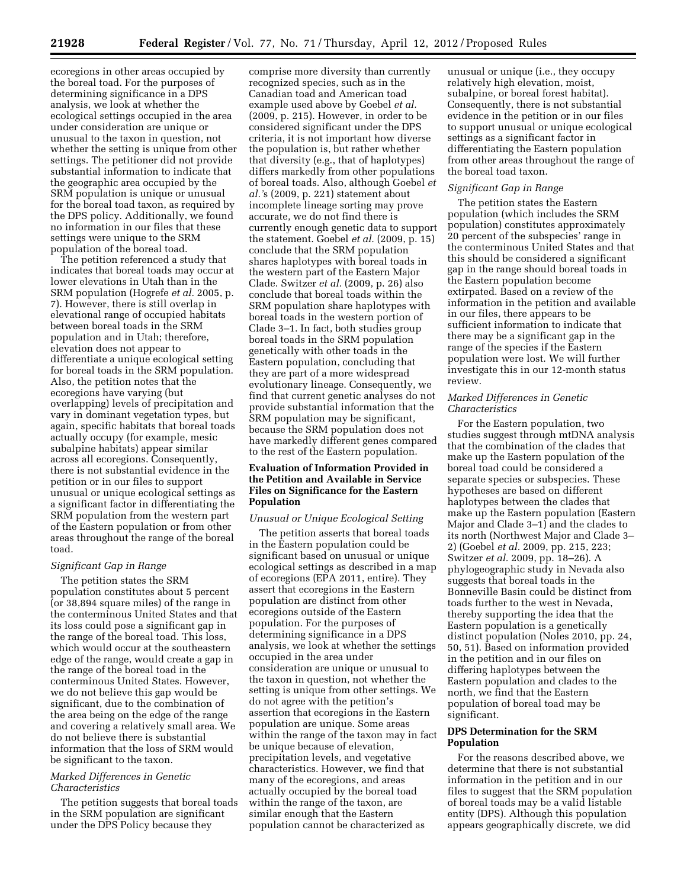ecoregions in other areas occupied by the boreal toad. For the purposes of determining significance in a DPS analysis, we look at whether the ecological settings occupied in the area under consideration are unique or unusual to the taxon in question, not whether the setting is unique from other settings. The petitioner did not provide substantial information to indicate that the geographic area occupied by the SRM population is unique or unusual for the boreal toad taxon, as required by the DPS policy. Additionally, we found no information in our files that these settings were unique to the SRM population of the boreal toad.

The petition referenced a study that indicates that boreal toads may occur at lower elevations in Utah than in the SRM population (Hogrefe *et al.* 2005, p. 7). However, there is still overlap in elevational range of occupied habitats between boreal toads in the SRM population and in Utah; therefore, elevation does not appear to differentiate a unique ecological setting for boreal toads in the SRM population. Also, the petition notes that the ecoregions have varying (but overlapping) levels of precipitation and vary in dominant vegetation types, but again, specific habitats that boreal toads actually occupy (for example, mesic subalpine habitats) appear similar across all ecoregions. Consequently, there is not substantial evidence in the petition or in our files to support unusual or unique ecological settings as a significant factor in differentiating the SRM population from the western part of the Eastern population or from other areas throughout the range of the boreal toad.

### *Significant Gap in Range*

The petition states the SRM population constitutes about 5 percent (or 38,894 square miles) of the range in the conterminous United States and that its loss could pose a significant gap in the range of the boreal toad. This loss, which would occur at the southeastern edge of the range, would create a gap in the range of the boreal toad in the conterminous United States. However, we do not believe this gap would be significant, due to the combination of the area being on the edge of the range and covering a relatively small area. We do not believe there is substantial information that the loss of SRM would be significant to the taxon.

### *Marked Differences in Genetic Characteristics*

The petition suggests that boreal toads in the SRM population are significant under the DPS Policy because they

comprise more diversity than currently recognized species, such as in the Canadian toad and American toad example used above by Goebel *et al.*  (2009, p. 215). However, in order to be considered significant under the DPS criteria, it is not important how diverse the population is, but rather whether that diversity (e.g., that of haplotypes) differs markedly from other populations of boreal toads. Also, although Goebel *et al.'*s (2009, p. 221) statement about incomplete lineage sorting may prove accurate, we do not find there is currently enough genetic data to support the statement. Goebel *et al.* (2009, p. 15) conclude that the SRM population shares haplotypes with boreal toads in the western part of the Eastern Major Clade. Switzer *et al.* (2009, p. 26) also conclude that boreal toads within the SRM population share haplotypes with boreal toads in the western portion of Clade 3–1. In fact, both studies group boreal toads in the SRM population genetically with other toads in the Eastern population, concluding that they are part of a more widespread evolutionary lineage. Consequently, we find that current genetic analyses do not provide substantial information that the SRM population may be significant, because the SRM population does not have markedly different genes compared to the rest of the Eastern population.

## **Evaluation of Information Provided in the Petition and Available in Service Files on Significance for the Eastern Population**

### *Unusual or Unique Ecological Setting*

The petition asserts that boreal toads in the Eastern population could be significant based on unusual or unique ecological settings as described in a map of ecoregions (EPA 2011, entire). They assert that ecoregions in the Eastern population are distinct from other ecoregions outside of the Eastern population. For the purposes of determining significance in a DPS analysis, we look at whether the settings occupied in the area under consideration are unique or unusual to the taxon in question, not whether the setting is unique from other settings. We do not agree with the petition's assertion that ecoregions in the Eastern population are unique. Some areas within the range of the taxon may in fact be unique because of elevation, precipitation levels, and vegetative characteristics. However, we find that many of the ecoregions, and areas actually occupied by the boreal toad within the range of the taxon, are similar enough that the Eastern population cannot be characterized as

unusual or unique (i.e., they occupy relatively high elevation, moist, subalpine, or boreal forest habitat). Consequently, there is not substantial evidence in the petition or in our files to support unusual or unique ecological settings as a significant factor in differentiating the Eastern population from other areas throughout the range of the boreal toad taxon.

### *Significant Gap in Range*

The petition states the Eastern population (which includes the SRM population) constitutes approximately 20 percent of the subspecies' range in the conterminous United States and that this should be considered a significant gap in the range should boreal toads in the Eastern population become extirpated. Based on a review of the information in the petition and available in our files, there appears to be sufficient information to indicate that there may be a significant gap in the range of the species if the Eastern population were lost. We will further investigate this in our 12-month status review.

### *Marked Differences in Genetic Characteristics*

For the Eastern population, two studies suggest through mtDNA analysis that the combination of the clades that make up the Eastern population of the boreal toad could be considered a separate species or subspecies. These hypotheses are based on different haplotypes between the clades that make up the Eastern population (Eastern Major and Clade 3–1) and the clades to its north (Northwest Major and Clade 3– 2) (Goebel *et al.* 2009, pp. 215, 223; Switzer *et al.* 2009, pp. 18–26). A phylogeographic study in Nevada also suggests that boreal toads in the Bonneville Basin could be distinct from toads further to the west in Nevada, thereby supporting the idea that the Eastern population is a genetically distinct population (Noles 2010, pp. 24, 50, 51). Based on information provided in the petition and in our files on differing haplotypes between the Eastern population and clades to the north, we find that the Eastern population of boreal toad may be significant.

### **DPS Determination for the SRM Population**

For the reasons described above, we determine that there is not substantial information in the petition and in our files to suggest that the SRM population of boreal toads may be a valid listable entity (DPS). Although this population appears geographically discrete, we did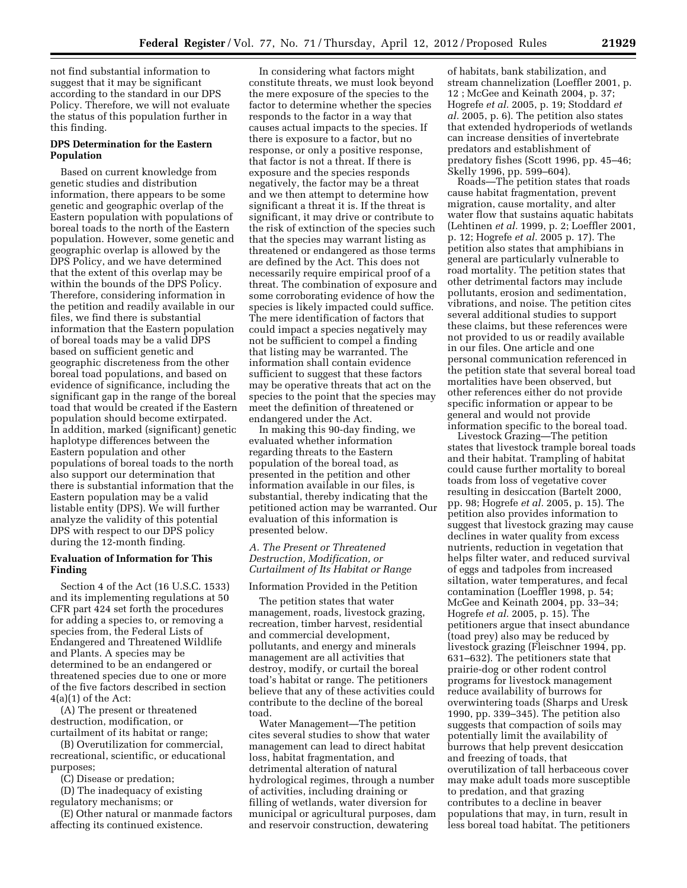not find substantial information to suggest that it may be significant according to the standard in our DPS Policy. Therefore, we will not evaluate the status of this population further in this finding.

## **DPS Determination for the Eastern Population**

Based on current knowledge from genetic studies and distribution information, there appears to be some genetic and geographic overlap of the Eastern population with populations of boreal toads to the north of the Eastern population. However, some genetic and geographic overlap is allowed by the DPS Policy, and we have determined that the extent of this overlap may be within the bounds of the DPS Policy. Therefore, considering information in the petition and readily available in our files, we find there is substantial information that the Eastern population of boreal toads may be a valid DPS based on sufficient genetic and geographic discreteness from the other boreal toad populations, and based on evidence of significance, including the significant gap in the range of the boreal toad that would be created if the Eastern population should become extirpated. In addition, marked (significant) genetic haplotype differences between the Eastern population and other populations of boreal toads to the north also support our determination that there is substantial information that the Eastern population may be a valid listable entity (DPS). We will further analyze the validity of this potential DPS with respect to our DPS policy during the 12-month finding.

### **Evaluation of Information for This Finding**

Section 4 of the Act (16 U.S.C. 1533) and its implementing regulations at 50 CFR part 424 set forth the procedures for adding a species to, or removing a species from, the Federal Lists of Endangered and Threatened Wildlife and Plants. A species may be determined to be an endangered or threatened species due to one or more of the five factors described in section  $4(a)(1)$  of the Act:

(A) The present or threatened destruction, modification, or curtailment of its habitat or range;

(B) Overutilization for commercial, recreational, scientific, or educational purposes;

(C) Disease or predation;

(D) The inadequacy of existing regulatory mechanisms; or

(E) Other natural or manmade factors affecting its continued existence.

In considering what factors might constitute threats, we must look beyond the mere exposure of the species to the factor to determine whether the species responds to the factor in a way that causes actual impacts to the species. If there is exposure to a factor, but no response, or only a positive response, that factor is not a threat. If there is exposure and the species responds negatively, the factor may be a threat and we then attempt to determine how significant a threat it is. If the threat is significant, it may drive or contribute to the risk of extinction of the species such that the species may warrant listing as threatened or endangered as those terms are defined by the Act. This does not necessarily require empirical proof of a threat. The combination of exposure and some corroborating evidence of how the species is likely impacted could suffice. The mere identification of factors that could impact a species negatively may not be sufficient to compel a finding that listing may be warranted. The information shall contain evidence sufficient to suggest that these factors may be operative threats that act on the species to the point that the species may meet the definition of threatened or endangered under the Act.

In making this 90-day finding, we evaluated whether information regarding threats to the Eastern population of the boreal toad, as presented in the petition and other information available in our files, is substantial, thereby indicating that the petitioned action may be warranted. Our evaluation of this information is presented below.

### *A. The Present or Threatened Destruction, Modification, or Curtailment of Its Habitat or Range*

### Information Provided in the Petition

The petition states that water management, roads, livestock grazing, recreation, timber harvest, residential and commercial development, pollutants, and energy and minerals management are all activities that destroy, modify, or curtail the boreal toad's habitat or range. The petitioners believe that any of these activities could contribute to the decline of the boreal toad.

Water Management—The petition cites several studies to show that water management can lead to direct habitat loss, habitat fragmentation, and detrimental alteration of natural hydrological regimes, through a number of activities, including draining or filling of wetlands, water diversion for municipal or agricultural purposes, dam and reservoir construction, dewatering

of habitats, bank stabilization, and stream channelization (Loeffler 2001, p. 12 ; McGee and Keinath 2004, p. 37; Hogrefe *et al.* 2005, p. 19; Stoddard *et al.* 2005, p. 6). The petition also states that extended hydroperiods of wetlands can increase densities of invertebrate predators and establishment of predatory fishes (Scott 1996, pp. 45–46; Skelly 1996, pp. 599–604).

Roads—The petition states that roads cause habitat fragmentation, prevent migration, cause mortality, and alter water flow that sustains aquatic habitats (Lehtinen *et al.* 1999, p. 2; Loeffler 2001, p. 12; Hogrefe *et al.* 2005 p. 17). The petition also states that amphibians in general are particularly vulnerable to road mortality. The petition states that other detrimental factors may include pollutants, erosion and sedimentation, vibrations, and noise. The petition cites several additional studies to support these claims, but these references were not provided to us or readily available in our files. One article and one personal communication referenced in the petition state that several boreal toad mortalities have been observed, but other references either do not provide specific information or appear to be general and would not provide information specific to the boreal toad.

Livestock Grazing—The petition states that livestock trample boreal toads and their habitat. Trampling of habitat could cause further mortality to boreal toads from loss of vegetative cover resulting in desiccation (Bartelt 2000, pp. 98; Hogrefe *et al.* 2005, p. 15). The petition also provides information to suggest that livestock grazing may cause declines in water quality from excess nutrients, reduction in vegetation that helps filter water, and reduced survival of eggs and tadpoles from increased siltation, water temperatures, and fecal contamination (Loeffler 1998, p. 54; McGee and Keinath 2004, pp. 33–34; Hogrefe *et al.* 2005, p. 15). The petitioners argue that insect abundance (toad prey) also may be reduced by livestock grazing (Fleischner 1994, pp. 631–632). The petitioners state that prairie-dog or other rodent control programs for livestock management reduce availability of burrows for overwintering toads (Sharps and Uresk 1990, pp. 339–345). The petition also suggests that compaction of soils may potentially limit the availability of burrows that help prevent desiccation and freezing of toads, that overutilization of tall herbaceous cover may make adult toads more susceptible to predation, and that grazing contributes to a decline in beaver populations that may, in turn, result in less boreal toad habitat. The petitioners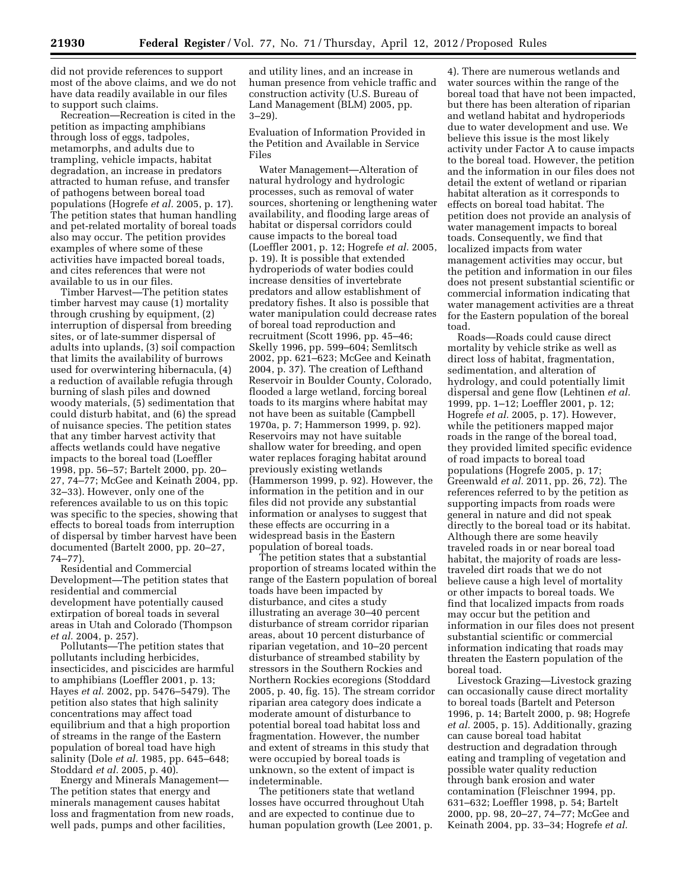did not provide references to support most of the above claims, and we do not have data readily available in our files to support such claims.

Recreation—Recreation is cited in the petition as impacting amphibians through loss of eggs, tadpoles, metamorphs, and adults due to trampling, vehicle impacts, habitat degradation, an increase in predators attracted to human refuse, and transfer of pathogens between boreal toad populations (Hogrefe *et al.* 2005, p. 17). The petition states that human handling and pet-related mortality of boreal toads also may occur. The petition provides examples of where some of these activities have impacted boreal toads, and cites references that were not available to us in our files.

Timber Harvest—The petition states timber harvest may cause (1) mortality through crushing by equipment, (2) interruption of dispersal from breeding sites, or of late-summer dispersal of adults into uplands, (3) soil compaction that limits the availability of burrows used for overwintering hibernacula, (4) a reduction of available refugia through burning of slash piles and downed woody materials, (5) sedimentation that could disturb habitat, and (6) the spread of nuisance species. The petition states that any timber harvest activity that affects wetlands could have negative impacts to the boreal toad (Loeffler 1998, pp. 56–57; Bartelt 2000, pp. 20– 27, 74–77; McGee and Keinath 2004, pp. 32–33). However, only one of the references available to us on this topic was specific to the species, showing that effects to boreal toads from interruption of dispersal by timber harvest have been documented (Bartelt 2000, pp. 20–27, 74–77).

Residential and Commercial Development—The petition states that residential and commercial development have potentially caused extirpation of boreal toads in several areas in Utah and Colorado (Thompson *et al.* 2004, p. 257).

Pollutants—The petition states that pollutants including herbicides, insecticides, and piscicides are harmful to amphibians (Loeffler 2001, p. 13; Hayes *et al.* 2002, pp. 5476–5479). The petition also states that high salinity concentrations may affect toad equilibrium and that a high proportion of streams in the range of the Eastern population of boreal toad have high salinity (Dole *et al.* 1985, pp. 645–648; Stoddard *et al.* 2005, p. 40).

Energy and Minerals Management— The petition states that energy and minerals management causes habitat loss and fragmentation from new roads, well pads, pumps and other facilities,

and utility lines, and an increase in human presence from vehicle traffic and construction activity (U.S. Bureau of Land Management (BLM) 2005, pp. 3–29).

Evaluation of Information Provided in the Petition and Available in Service Files

Water Management—Alteration of natural hydrology and hydrologic processes, such as removal of water sources, shortening or lengthening water availability, and flooding large areas of habitat or dispersal corridors could cause impacts to the boreal toad (Loeffler 2001, p. 12; Hogrefe *et al.* 2005, p. 19). It is possible that extended hydroperiods of water bodies could increase densities of invertebrate predators and allow establishment of predatory fishes. It also is possible that water manipulation could decrease rates of boreal toad reproduction and recruitment (Scott 1996, pp. 45–46; Skelly 1996, pp. 599–604; Semlitsch 2002, pp. 621–623; McGee and Keinath 2004, p. 37). The creation of Lefthand Reservoir in Boulder County, Colorado, flooded a large wetland, forcing boreal toads to its margins where habitat may not have been as suitable (Campbell 1970a, p. 7; Hammerson 1999, p. 92). Reservoirs may not have suitable shallow water for breeding, and open water replaces foraging habitat around previously existing wetlands (Hammerson 1999, p. 92). However, the information in the petition and in our files did not provide any substantial information or analyses to suggest that these effects are occurring in a widespread basis in the Eastern population of boreal toads.

The petition states that a substantial proportion of streams located within the range of the Eastern population of boreal toads have been impacted by disturbance, and cites a study illustrating an average 30–40 percent disturbance of stream corridor riparian areas, about 10 percent disturbance of riparian vegetation, and 10–20 percent disturbance of streambed stability by stressors in the Southern Rockies and Northern Rockies ecoregions (Stoddard 2005, p. 40, fig. 15). The stream corridor riparian area category does indicate a moderate amount of disturbance to potential boreal toad habitat loss and fragmentation. However, the number and extent of streams in this study that were occupied by boreal toads is unknown, so the extent of impact is indeterminable.

The petitioners state that wetland losses have occurred throughout Utah and are expected to continue due to human population growth (Lee 2001, p.

4). There are numerous wetlands and water sources within the range of the boreal toad that have not been impacted, but there has been alteration of riparian and wetland habitat and hydroperiods due to water development and use. We believe this issue is the most likely activity under Factor A to cause impacts to the boreal toad. However, the petition and the information in our files does not detail the extent of wetland or riparian habitat alteration as it corresponds to effects on boreal toad habitat. The petition does not provide an analysis of water management impacts to boreal toads. Consequently, we find that localized impacts from water management activities may occur, but the petition and information in our files does not present substantial scientific or commercial information indicating that water management activities are a threat for the Eastern population of the boreal toad.

Roads—Roads could cause direct mortality by vehicle strike as well as direct loss of habitat, fragmentation, sedimentation, and alteration of hydrology, and could potentially limit dispersal and gene flow (Lehtinen *et al.*  1999, pp. 1–12; Loeffler 2001, p. 12; Hogrefe *et al.* 2005, p. 17). However, while the petitioners mapped major roads in the range of the boreal toad, they provided limited specific evidence of road impacts to boreal toad populations (Hogrefe 2005, p. 17; Greenwald *et al.* 2011, pp. 26, 72). The references referred to by the petition as supporting impacts from roads were general in nature and did not speak directly to the boreal toad or its habitat. Although there are some heavily traveled roads in or near boreal toad habitat, the majority of roads are lesstraveled dirt roads that we do not believe cause a high level of mortality or other impacts to boreal toads. We find that localized impacts from roads may occur but the petition and information in our files does not present substantial scientific or commercial information indicating that roads may threaten the Eastern population of the boreal toad.

Livestock Grazing—Livestock grazing can occasionally cause direct mortality to boreal toads (Bartelt and Peterson 1996, p. 14; Bartelt 2000, p. 98; Hogrefe *et al.* 2005, p. 15). Additionally, grazing can cause boreal toad habitat destruction and degradation through eating and trampling of vegetation and possible water quality reduction through bank erosion and water contamination (Fleischner 1994, pp. 631–632; Loeffler 1998, p. 54; Bartelt 2000, pp. 98, 20–27, 74–77; McGee and Keinath 2004, pp. 33–34; Hogrefe *et al.*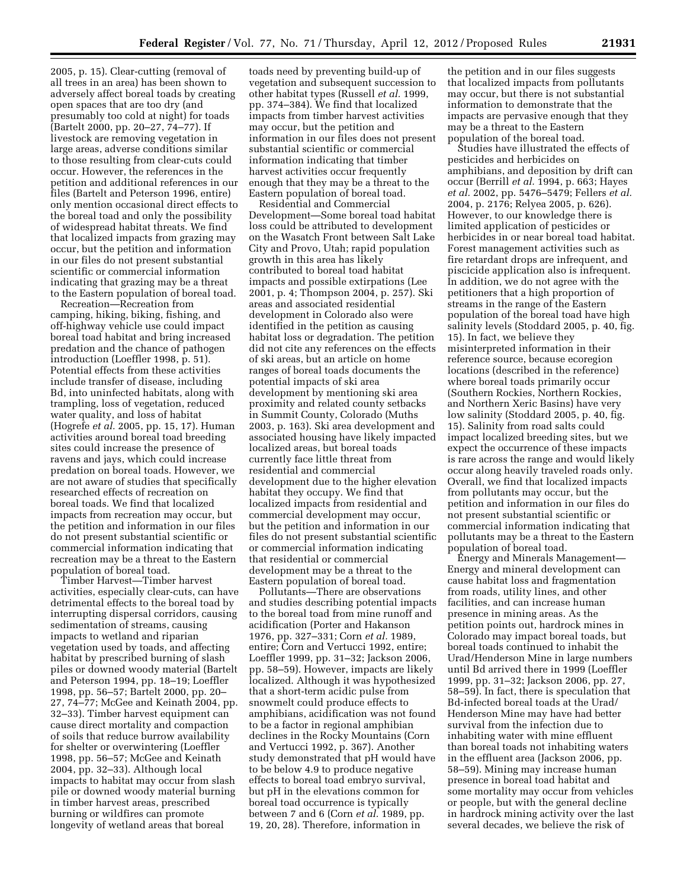2005, p. 15). Clear-cutting (removal of all trees in an area) has been shown to adversely affect boreal toads by creating open spaces that are too dry (and presumably too cold at night) for toads (Bartelt 2000, pp. 20–27, 74–77). If livestock are removing vegetation in large areas, adverse conditions similar to those resulting from clear-cuts could occur. However, the references in the petition and additional references in our files (Bartelt and Peterson 1996, entire) only mention occasional direct effects to the boreal toad and only the possibility of widespread habitat threats. We find that localized impacts from grazing may occur, but the petition and information in our files do not present substantial scientific or commercial information indicating that grazing may be a threat to the Eastern population of boreal toad.

Recreation—Recreation from camping, hiking, biking, fishing, and off-highway vehicle use could impact boreal toad habitat and bring increased predation and the chance of pathogen introduction (Loeffler 1998, p. 51). Potential effects from these activities include transfer of disease, including Bd, into uninfected habitats, along with trampling, loss of vegetation, reduced water quality, and loss of habitat (Hogrefe *et al.* 2005, pp. 15, 17). Human activities around boreal toad breeding sites could increase the presence of ravens and jays, which could increase predation on boreal toads. However, we are not aware of studies that specifically researched effects of recreation on boreal toads. We find that localized impacts from recreation may occur, but the petition and information in our files do not present substantial scientific or commercial information indicating that recreation may be a threat to the Eastern population of boreal toad.

Timber Harvest—Timber harvest activities, especially clear-cuts, can have detrimental effects to the boreal toad by interrupting dispersal corridors, causing sedimentation of streams, causing impacts to wetland and riparian vegetation used by toads, and affecting habitat by prescribed burning of slash piles or downed woody material (Bartelt and Peterson 1994, pp. 18–19; Loeffler 1998, pp. 56–57; Bartelt 2000, pp. 20– 27, 74–77; McGee and Keinath 2004, pp. 32–33). Timber harvest equipment can cause direct mortality and compaction of soils that reduce burrow availability for shelter or overwintering (Loeffler 1998, pp. 56–57; McGee and Keinath 2004, pp. 32–33). Although local impacts to habitat may occur from slash pile or downed woody material burning in timber harvest areas, prescribed burning or wildfires can promote longevity of wetland areas that boreal

toads need by preventing build-up of vegetation and subsequent succession to other habitat types (Russell *et al.* 1999, pp. 374–384). We find that localized impacts from timber harvest activities may occur, but the petition and information in our files does not present substantial scientific or commercial information indicating that timber harvest activities occur frequently enough that they may be a threat to the Eastern population of boreal toad.

Residential and Commercial Development—Some boreal toad habitat loss could be attributed to development on the Wasatch Front between Salt Lake City and Provo, Utah; rapid population growth in this area has likely contributed to boreal toad habitat impacts and possible extirpations (Lee 2001, p. 4; Thompson 2004, p. 257). Ski areas and associated residential development in Colorado also were identified in the petition as causing habitat loss or degradation. The petition did not cite any references on the effects of ski areas, but an article on home ranges of boreal toads documents the potential impacts of ski area development by mentioning ski area proximity and related county setbacks in Summit County, Colorado (Muths 2003, p. 163). Ski area development and associated housing have likely impacted localized areas, but boreal toads currently face little threat from residential and commercial development due to the higher elevation habitat they occupy. We find that localized impacts from residential and commercial development may occur, but the petition and information in our files do not present substantial scientific or commercial information indicating that residential or commercial development may be a threat to the Eastern population of boreal toad.

Pollutants—There are observations and studies describing potential impacts to the boreal toad from mine runoff and acidification (Porter and Hakanson 1976, pp. 327–331; Corn *et al.* 1989, entire; Corn and Vertucci 1992, entire; Loeffler 1999, pp. 31–32; Jackson 2006, pp. 58–59). However, impacts are likely localized. Although it was hypothesized that a short-term acidic pulse from snowmelt could produce effects to amphibians, acidification was not found to be a factor in regional amphibian declines in the Rocky Mountains (Corn and Vertucci 1992, p. 367). Another study demonstrated that pH would have to be below 4.9 to produce negative effects to boreal toad embryo survival, but pH in the elevations common for boreal toad occurrence is typically between 7 and 6 (Corn *et al.* 1989, pp. 19, 20, 28). Therefore, information in

the petition and in our files suggests that localized impacts from pollutants may occur, but there is not substantial information to demonstrate that the impacts are pervasive enough that they may be a threat to the Eastern population of the boreal toad.

Studies have illustrated the effects of pesticides and herbicides on amphibians, and deposition by drift can occur (Berrill *et al.* 1994, p. 663; Hayes *et al.* 2002, pp. 5476–5479; Fellers *et al.*  2004, p. 2176; Relyea 2005, p. 626). However, to our knowledge there is limited application of pesticides or herbicides in or near boreal toad habitat. Forest management activities such as fire retardant drops are infrequent, and piscicide application also is infrequent. In addition, we do not agree with the petitioners that a high proportion of streams in the range of the Eastern population of the boreal toad have high salinity levels (Stoddard 2005, p. 40, fig. 15). In fact, we believe they misinterpreted information in their reference source, because ecoregion locations (described in the reference) where boreal toads primarily occur (Southern Rockies, Northern Rockies, and Northern Xeric Basins) have very low salinity (Stoddard 2005, p. 40, fig. 15). Salinity from road salts could impact localized breeding sites, but we expect the occurrence of these impacts is rare across the range and would likely occur along heavily traveled roads only. Overall, we find that localized impacts from pollutants may occur, but the petition and information in our files do not present substantial scientific or commercial information indicating that pollutants may be a threat to the Eastern population of boreal toad.

Energy and Minerals Management— Energy and mineral development can cause habitat loss and fragmentation from roads, utility lines, and other facilities, and can increase human presence in mining areas. As the petition points out, hardrock mines in Colorado may impact boreal toads, but boreal toads continued to inhabit the Urad/Henderson Mine in large numbers until Bd arrived there in 1999 (Loeffler 1999, pp. 31–32; Jackson 2006, pp. 27, 58–59). In fact, there is speculation that Bd-infected boreal toads at the Urad/ Henderson Mine may have had better survival from the infection due to inhabiting water with mine effluent than boreal toads not inhabiting waters in the effluent area (Jackson 2006, pp. 58–59). Mining may increase human presence in boreal toad habitat and some mortality may occur from vehicles or people, but with the general decline in hardrock mining activity over the last several decades, we believe the risk of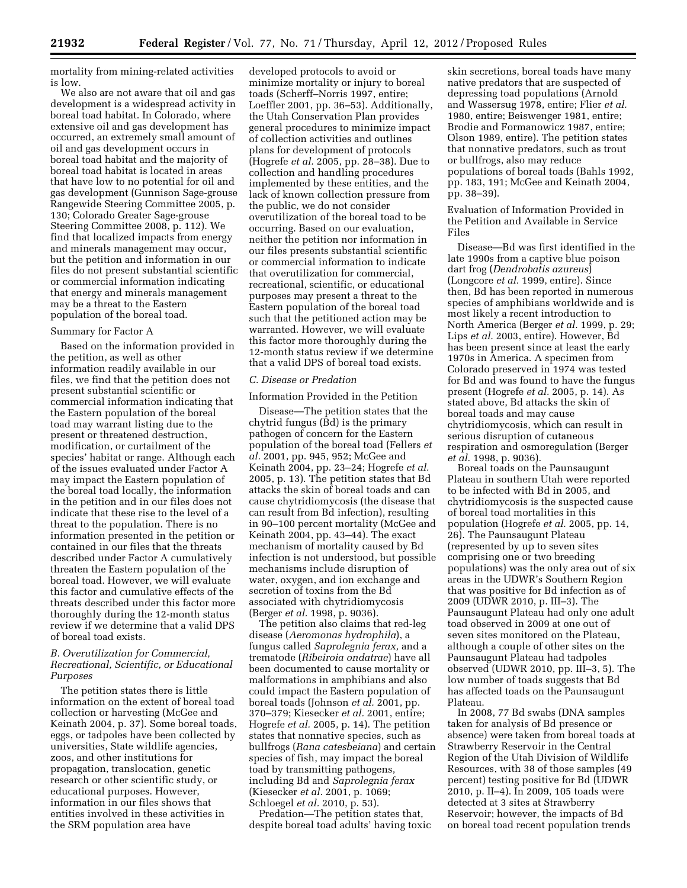mortality from mining-related activities is low.

We also are not aware that oil and gas development is a widespread activity in boreal toad habitat. In Colorado, where extensive oil and gas development has occurred, an extremely small amount of oil and gas development occurs in boreal toad habitat and the majority of boreal toad habitat is located in areas that have low to no potential for oil and gas development (Gunnison Sage-grouse Rangewide Steering Committee 2005, p. 130; Colorado Greater Sage-grouse Steering Committee 2008, p. 112). We find that localized impacts from energy and minerals management may occur, but the petition and information in our files do not present substantial scientific or commercial information indicating that energy and minerals management may be a threat to the Eastern population of the boreal toad.

### Summary for Factor A

Based on the information provided in the petition, as well as other information readily available in our files, we find that the petition does not present substantial scientific or commercial information indicating that the Eastern population of the boreal toad may warrant listing due to the present or threatened destruction, modification, or curtailment of the species' habitat or range. Although each of the issues evaluated under Factor A may impact the Eastern population of the boreal toad locally, the information in the petition and in our files does not indicate that these rise to the level of a threat to the population. There is no information presented in the petition or contained in our files that the threats described under Factor A cumulatively threaten the Eastern population of the boreal toad. However, we will evaluate this factor and cumulative effects of the threats described under this factor more thoroughly during the 12-month status review if we determine that a valid DPS of boreal toad exists.

# *B. Overutilization for Commercial, Recreational, Scientific, or Educational Purposes*

The petition states there is little information on the extent of boreal toad collection or harvesting (McGee and Keinath 2004, p. 37). Some boreal toads, eggs, or tadpoles have been collected by universities, State wildlife agencies, zoos, and other institutions for propagation, translocation, genetic research or other scientific study, or educational purposes. However, information in our files shows that entities involved in these activities in the SRM population area have

developed protocols to avoid or minimize mortality or injury to boreal toads (Scherff–Norris 1997, entire; Loeffler 2001, pp. 36–53). Additionally, the Utah Conservation Plan provides general procedures to minimize impact of collection activities and outlines plans for development of protocols (Hogrefe *et al.* 2005, pp. 28–38). Due to collection and handling procedures implemented by these entities, and the lack of known collection pressure from the public, we do not consider overutilization of the boreal toad to be occurring. Based on our evaluation, neither the petition nor information in our files presents substantial scientific or commercial information to indicate that overutilization for commercial, recreational, scientific, or educational purposes may present a threat to the Eastern population of the boreal toad such that the petitioned action may be warranted. However, we will evaluate this factor more thoroughly during the 12-month status review if we determine that a valid DPS of boreal toad exists.

### *C. Disease or Predation*

Information Provided in the Petition

Disease—The petition states that the chytrid fungus (Bd) is the primary pathogen of concern for the Eastern population of the boreal toad (Fellers *et al.* 2001, pp. 945, 952; McGee and Keinath 2004, pp. 23–24; Hogrefe *et al.*  2005, p. 13). The petition states that Bd attacks the skin of boreal toads and can cause chytridiomycosis (the disease that can result from Bd infection), resulting in 90–100 percent mortality (McGee and Keinath 2004, pp. 43–44). The exact mechanism of mortality caused by Bd infection is not understood, but possible mechanisms include disruption of water, oxygen, and ion exchange and secretion of toxins from the Bd associated with chytridiomycosis (Berger *et al.* 1998, p. 9036).

The petition also claims that red-leg disease (*Aeromonas hydrophila*), a fungus called *Saprolegnia ferax,* and a trematode (*Ribeiroia ondatrae*) have all been documented to cause mortality or malformations in amphibians and also could impact the Eastern population of boreal toads (Johnson *et al.* 2001, pp. 370–379; Kiesecker *et al.* 2001, entire; Hogrefe *et al.* 2005, p. 14). The petition states that nonnative species, such as bullfrogs (*Rana catesbeiana*) and certain species of fish, may impact the boreal toad by transmitting pathogens, including Bd and *Saprolegnia ferax*  (Kiesecker *et al.* 2001, p. 1069; Schloegel *et al.* 2010, p. 53).

Predation—The petition states that, despite boreal toad adults' having toxic

skin secretions, boreal toads have many native predators that are suspected of depressing toad populations (Arnold and Wassersug 1978, entire; Flier *et al.*  1980, entire; Beiswenger 1981, entire; Brodie and Formanowicz 1987, entire; Olson 1989, entire). The petition states that nonnative predators, such as trout or bullfrogs, also may reduce populations of boreal toads (Bahls 1992, pp. 183, 191; McGee and Keinath 2004, pp. 38–39).

Evaluation of Information Provided in the Petition and Available in Service Files

Disease—Bd was first identified in the late 1990s from a captive blue poison dart frog (*Dendrobatis azureus*) (Longcore *et al.* 1999, entire). Since then, Bd has been reported in numerous species of amphibians worldwide and is most likely a recent introduction to North America (Berger *et al.* 1999, p. 29; Lips *et al.* 2003, entire). However, Bd has been present since at least the early 1970s in America. A specimen from Colorado preserved in 1974 was tested for Bd and was found to have the fungus present (Hogrefe *et al.* 2005, p. 14). As stated above, Bd attacks the skin of boreal toads and may cause chytridiomycosis, which can result in serious disruption of cutaneous respiration and osmoregulation (Berger *et al.* 1998, p. 9036).

Boreal toads on the Paunsaugunt Plateau in southern Utah were reported to be infected with Bd in 2005, and chytridiomycosis is the suspected cause of boreal toad mortalities in this population (Hogrefe *et al.* 2005, pp. 14, 26). The Paunsaugunt Plateau (represented by up to seven sites comprising one or two breeding populations) was the only area out of six areas in the UDWR's Southern Region that was positive for Bd infection as of 2009 (UDWR 2010, p. III–3). The Paunsaugunt Plateau had only one adult toad observed in 2009 at one out of seven sites monitored on the Plateau, although a couple of other sites on the Paunsaugunt Plateau had tadpoles observed (UDWR 2010, pp.  $II\bar{I}$ –3, 5). The low number of toads suggests that Bd has affected toads on the Paunsaugunt Plateau.

In 2008, 77 Bd swabs (DNA samples taken for analysis of Bd presence or absence) were taken from boreal toads at Strawberry Reservoir in the Central Region of the Utah Division of Wildlife Resources, with 38 of those samples (49 percent) testing positive for Bd (UDWR 2010, p. II–4). In 2009, 105 toads were detected at 3 sites at Strawberry Reservoir; however, the impacts of Bd on boreal toad recent population trends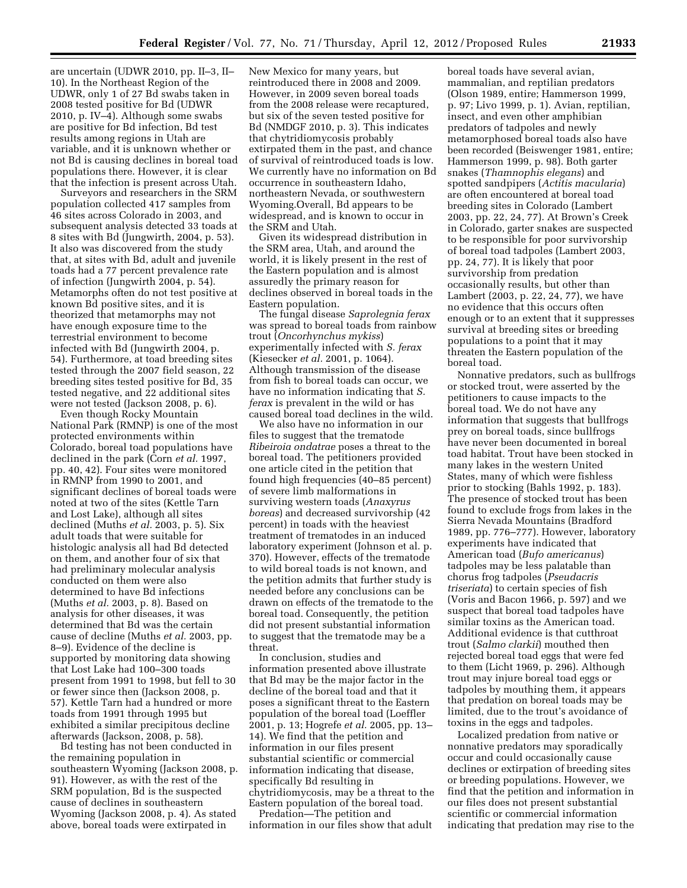are uncertain (UDWR 2010, pp. II–3, II– 10). In the Northeast Region of the UDWR, only 1 of 27 Bd swabs taken in 2008 tested positive for Bd (UDWR 2010, p. IV–4). Although some swabs are positive for Bd infection, Bd test results among regions in Utah are variable, and it is unknown whether or not Bd is causing declines in boreal toad populations there. However, it is clear that the infection is present across Utah.

Surveyors and researchers in the SRM population collected 417 samples from 46 sites across Colorado in 2003, and subsequent analysis detected 33 toads at 8 sites with Bd (Jungwirth, 2004, p. 53). It also was discovered from the study that, at sites with Bd, adult and juvenile toads had a 77 percent prevalence rate of infection (Jungwirth 2004, p. 54). Metamorphs often do not test positive at known Bd positive sites, and it is theorized that metamorphs may not have enough exposure time to the terrestrial environment to become infected with Bd (Jungwirth 2004, p. 54). Furthermore, at toad breeding sites tested through the 2007 field season, 22 breeding sites tested positive for Bd, 35 tested negative, and 22 additional sites were not tested (Jackson 2008, p. 6).

Even though Rocky Mountain National Park (RMNP) is one of the most protected environments within Colorado, boreal toad populations have declined in the park (Corn *et al.* 1997, pp. 40, 42). Four sites were monitored in RMNP from 1990 to 2001, and significant declines of boreal toads were noted at two of the sites (Kettle Tarn and Lost Lake), although all sites declined (Muths *et al.* 2003, p. 5). Six adult toads that were suitable for histologic analysis all had Bd detected on them, and another four of six that had preliminary molecular analysis conducted on them were also determined to have Bd infections (Muths *et al.* 2003, p. 8). Based on analysis for other diseases, it was determined that Bd was the certain cause of decline (Muths *et al.* 2003, pp. 8–9). Evidence of the decline is supported by monitoring data showing that Lost Lake had 100–300 toads present from 1991 to 1998, but fell to 30 or fewer since then (Jackson 2008, p. 57). Kettle Tarn had a hundred or more toads from 1991 through 1995 but exhibited a similar precipitous decline afterwards (Jackson, 2008, p. 58).

Bd testing has not been conducted in the remaining population in southeastern Wyoming (Jackson 2008, p. 91). However, as with the rest of the SRM population, Bd is the suspected cause of declines in southeastern Wyoming (Jackson 2008, p. 4). As stated above, boreal toads were extirpated in

New Mexico for many years, but reintroduced there in 2008 and 2009. However, in 2009 seven boreal toads from the 2008 release were recaptured, but six of the seven tested positive for Bd (NMDGF 2010, p. 3). This indicates that chytridiomycosis probably extirpated them in the past, and chance of survival of reintroduced toads is low. We currently have no information on Bd occurrence in southeastern Idaho, northeastern Nevada, or southwestern Wyoming.Overall, Bd appears to be widespread, and is known to occur in the SRM and Utah.

Given its widespread distribution in the SRM area, Utah, and around the world, it is likely present in the rest of the Eastern population and is almost assuredly the primary reason for declines observed in boreal toads in the Eastern population.

The fungal disease *Saprolegnia ferax*  was spread to boreal toads from rainbow trout (*Oncorhynchus mykiss*) experimentally infected with *S. ferax*  (Kiesecker *et al.* 2001, p. 1064). Although transmission of the disease from fish to boreal toads can occur, we have no information indicating that *S. ferax* is prevalent in the wild or has caused boreal toad declines in the wild.

We also have no information in our files to suggest that the trematode *Ribeiroia ondatrae* poses a threat to the boreal toad. The petitioners provided one article cited in the petition that found high frequencies (40–85 percent) of severe limb malformations in surviving western toads (*Anaxyrus boreas*) and decreased survivorship (42 percent) in toads with the heaviest treatment of trematodes in an induced laboratory experiment (Johnson et al. p. 370). However, effects of the trematode to wild boreal toads is not known, and the petition admits that further study is needed before any conclusions can be drawn on effects of the trematode to the boreal toad. Consequently, the petition did not present substantial information to suggest that the trematode may be a threat.

In conclusion, studies and information presented above illustrate that Bd may be the major factor in the decline of the boreal toad and that it poses a significant threat to the Eastern population of the boreal toad (Loeffler 2001, p. 13; Hogrefe *et al.* 2005, pp. 13– 14). We find that the petition and information in our files present substantial scientific or commercial information indicating that disease, specifically Bd resulting in chytridiomycosis, may be a threat to the Eastern population of the boreal toad.

Predation—The petition and information in our files show that adult boreal toads have several avian, mammalian, and reptilian predators (Olson 1989, entire; Hammerson 1999, p. 97; Livo 1999, p. 1). Avian, reptilian, insect, and even other amphibian predators of tadpoles and newly metamorphosed boreal toads also have been recorded (Beiswenger 1981, entire; Hammerson 1999, p. 98). Both garter snakes (*Thamnophis elegans*) and spotted sandpipers (*Actitis macularia*) are often encountered at boreal toad breeding sites in Colorado (Lambert 2003, pp. 22, 24, 77). At Brown's Creek in Colorado, garter snakes are suspected to be responsible for poor survivorship of boreal toad tadpoles (Lambert 2003, pp. 24, 77). It is likely that poor survivorship from predation occasionally results, but other than Lambert (2003, p. 22, 24, 77), we have no evidence that this occurs often enough or to an extent that it suppresses survival at breeding sites or breeding populations to a point that it may threaten the Eastern population of the boreal toad.

Nonnative predators, such as bullfrogs or stocked trout, were asserted by the petitioners to cause impacts to the boreal toad. We do not have any information that suggests that bullfrogs prey on boreal toads, since bullfrogs have never been documented in boreal toad habitat. Trout have been stocked in many lakes in the western United States, many of which were fishless prior to stocking (Bahls 1992, p. 183). The presence of stocked trout has been found to exclude frogs from lakes in the Sierra Nevada Mountains (Bradford 1989, pp. 776–777). However, laboratory experiments have indicated that American toad (*Bufo americanus*) tadpoles may be less palatable than chorus frog tadpoles (*Pseudacris triseriata*) to certain species of fish (Voris and Bacon 1966, p. 597) and we suspect that boreal toad tadpoles have similar toxins as the American toad. Additional evidence is that cutthroat trout (*Salmo clarkii*) mouthed then rejected boreal toad eggs that were fed to them (Licht 1969, p. 296). Although trout may injure boreal toad eggs or tadpoles by mouthing them, it appears that predation on boreal toads may be limited, due to the trout's avoidance of toxins in the eggs and tadpoles.

Localized predation from native or nonnative predators may sporadically occur and could occasionally cause declines or extirpation of breeding sites or breeding populations. However, we find that the petition and information in our files does not present substantial scientific or commercial information indicating that predation may rise to the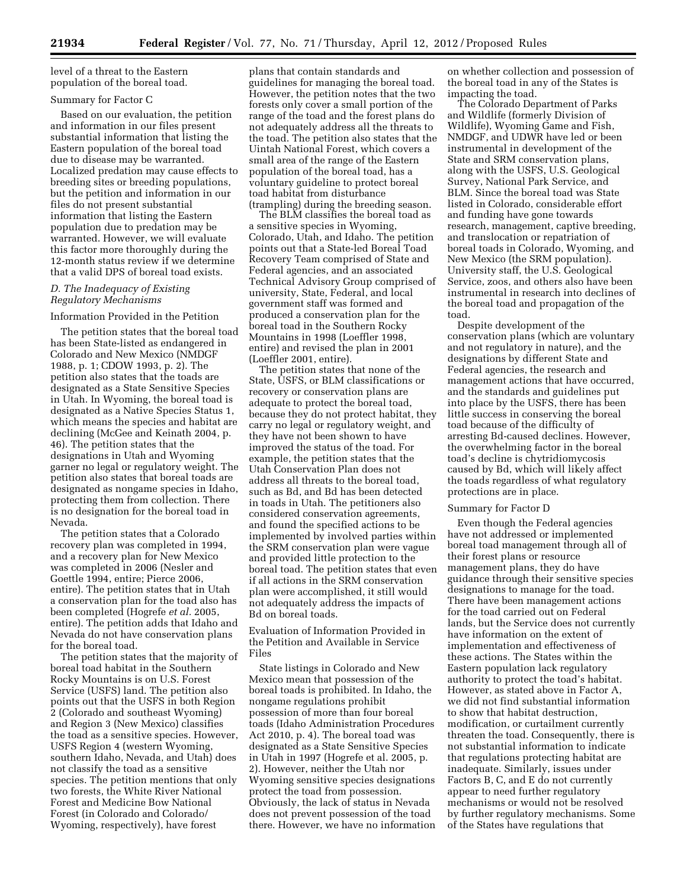level of a threat to the Eastern population of the boreal toad.

## Summary for Factor C

Based on our evaluation, the petition and information in our files present substantial information that listing the Eastern population of the boreal toad due to disease may be warranted. Localized predation may cause effects to breeding sites or breeding populations, but the petition and information in our files do not present substantial information that listing the Eastern population due to predation may be warranted. However, we will evaluate this factor more thoroughly during the 12-month status review if we determine that a valid DPS of boreal toad exists.

## *D. The Inadequacy of Existing Regulatory Mechanisms*

### Information Provided in the Petition

The petition states that the boreal toad has been State-listed as endangered in Colorado and New Mexico (NMDGF 1988, p. 1; CDOW 1993, p. 2). The petition also states that the toads are designated as a State Sensitive Species in Utah. In Wyoming, the boreal toad is designated as a Native Species Status 1, which means the species and habitat are declining (McGee and Keinath 2004, p. 46). The petition states that the designations in Utah and Wyoming garner no legal or regulatory weight. The petition also states that boreal toads are designated as nongame species in Idaho, protecting them from collection. There is no designation for the boreal toad in Nevada.

The petition states that a Colorado recovery plan was completed in 1994, and a recovery plan for New Mexico was completed in 2006 (Nesler and Goettle 1994, entire; Pierce 2006, entire). The petition states that in Utah a conservation plan for the toad also has been completed (Hogrefe *et al.* 2005, entire). The petition adds that Idaho and Nevada do not have conservation plans for the boreal toad.

The petition states that the majority of boreal toad habitat in the Southern Rocky Mountains is on U.S. Forest Service (USFS) land. The petition also points out that the USFS in both Region 2 (Colorado and southeast Wyoming) and Region 3 (New Mexico) classifies the toad as a sensitive species. However, USFS Region 4 (western Wyoming, southern Idaho, Nevada, and Utah) does not classify the toad as a sensitive species. The petition mentions that only two forests, the White River National Forest and Medicine Bow National Forest (in Colorado and Colorado/ Wyoming, respectively), have forest

plans that contain standards and guidelines for managing the boreal toad. However, the petition notes that the two forests only cover a small portion of the range of the toad and the forest plans do not adequately address all the threats to the toad. The petition also states that the Uintah National Forest, which covers a small area of the range of the Eastern population of the boreal toad, has a voluntary guideline to protect boreal toad habitat from disturbance (trampling) during the breeding season.

The BLM classifies the boreal toad as a sensitive species in Wyoming, Colorado, Utah, and Idaho. The petition points out that a State-led Boreal Toad Recovery Team comprised of State and Federal agencies, and an associated Technical Advisory Group comprised of university, State, Federal, and local government staff was formed and produced a conservation plan for the boreal toad in the Southern Rocky Mountains in 1998 (Loeffler 1998, entire) and revised the plan in 2001 (Loeffler 2001, entire).

The petition states that none of the State, USFS, or BLM classifications or recovery or conservation plans are adequate to protect the boreal toad, because they do not protect habitat, they carry no legal or regulatory weight, and they have not been shown to have improved the status of the toad. For example, the petition states that the Utah Conservation Plan does not address all threats to the boreal toad, such as Bd, and Bd has been detected in toads in Utah. The petitioners also considered conservation agreements, and found the specified actions to be implemented by involved parties within the SRM conservation plan were vague and provided little protection to the boreal toad. The petition states that even if all actions in the SRM conservation plan were accomplished, it still would not adequately address the impacts of Bd on boreal toads.

Evaluation of Information Provided in the Petition and Available in Service Files

State listings in Colorado and New Mexico mean that possession of the boreal toads is prohibited. In Idaho, the nongame regulations prohibit possession of more than four boreal toads (Idaho Administration Procedures Act 2010, p. 4). The boreal toad was designated as a State Sensitive Species in Utah in 1997 (Hogrefe et al. 2005, p. 2). However, neither the Utah nor Wyoming sensitive species designations protect the toad from possession. Obviously, the lack of status in Nevada does not prevent possession of the toad there. However, we have no information

on whether collection and possession of the boreal toad in any of the States is impacting the toad.

The Colorado Department of Parks and Wildlife (formerly Division of Wildlife), Wyoming Game and Fish, NMDGF, and UDWR have led or been instrumental in development of the State and SRM conservation plans, along with the USFS, U.S. Geological Survey, National Park Service, and BLM. Since the boreal toad was State listed in Colorado, considerable effort and funding have gone towards research, management, captive breeding, and translocation or repatriation of boreal toads in Colorado, Wyoming, and New Mexico (the SRM population). University staff, the U.S. Geological Service, zoos, and others also have been instrumental in research into declines of the boreal toad and propagation of the toad.

Despite development of the conservation plans (which are voluntary and not regulatory in nature), and the designations by different State and Federal agencies, the research and management actions that have occurred, and the standards and guidelines put into place by the USFS, there has been little success in conserving the boreal toad because of the difficulty of arresting Bd-caused declines. However, the overwhelming factor in the boreal toad's decline is chytridiomycosis caused by Bd, which will likely affect the toads regardless of what regulatory protections are in place.

### Summary for Factor D

Even though the Federal agencies have not addressed or implemented boreal toad management through all of their forest plans or resource management plans, they do have guidance through their sensitive species designations to manage for the toad. There have been management actions for the toad carried out on Federal lands, but the Service does not currently have information on the extent of implementation and effectiveness of these actions. The States within the Eastern population lack regulatory authority to protect the toad's habitat. However, as stated above in Factor A, we did not find substantial information to show that habitat destruction, modification, or curtailment currently threaten the toad. Consequently, there is not substantial information to indicate that regulations protecting habitat are inadequate. Similarly, issues under Factors B, C, and E do not currently appear to need further regulatory mechanisms or would not be resolved by further regulatory mechanisms. Some of the States have regulations that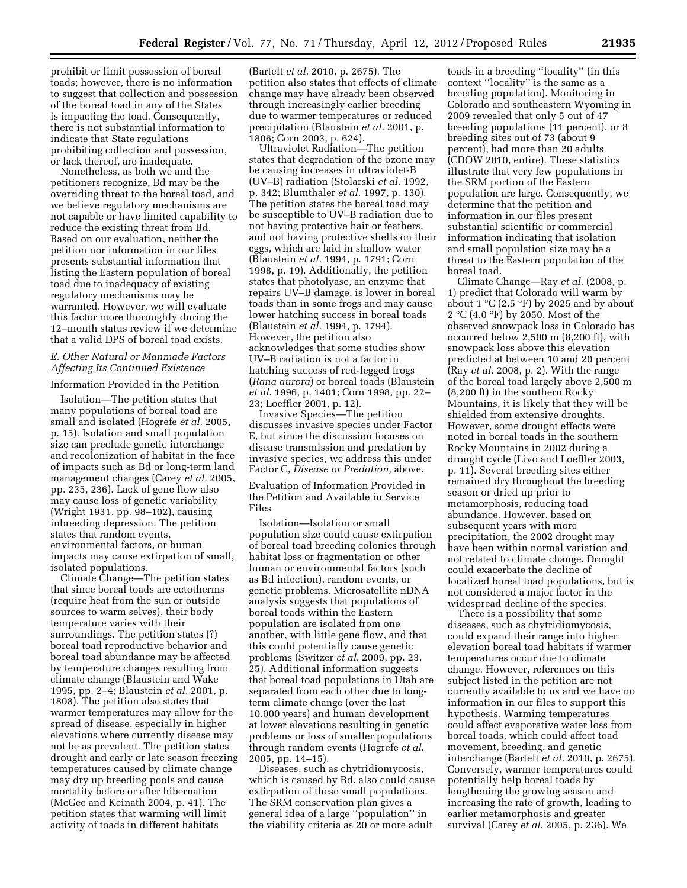prohibit or limit possession of boreal toads; however, there is no information to suggest that collection and possession of the boreal toad in any of the States is impacting the toad. Consequently, there is not substantial information to indicate that State regulations prohibiting collection and possession, or lack thereof, are inadequate.

Nonetheless, as both we and the petitioners recognize, Bd may be the overriding threat to the boreal toad, and we believe regulatory mechanisms are not capable or have limited capability to reduce the existing threat from Bd. Based on our evaluation, neither the petition nor information in our files presents substantial information that listing the Eastern population of boreal toad due to inadequacy of existing regulatory mechanisms may be warranted. However, we will evaluate this factor more thoroughly during the 12–month status review if we determine that a valid DPS of boreal toad exists.

# *E. Other Natural or Manmade Factors Affecting Its Continued Existence*

# Information Provided in the Petition

Isolation—The petition states that many populations of boreal toad are small and isolated (Hogrefe *et al.* 2005, p. 15). Isolation and small population size can preclude genetic interchange and recolonization of habitat in the face of impacts such as Bd or long-term land management changes (Carey *et al.* 2005, pp. 235, 236). Lack of gene flow also may cause loss of genetic variability (Wright 1931, pp. 98–102), causing inbreeding depression. The petition states that random events, environmental factors, or human impacts may cause extirpation of small, isolated populations.

Climate Change—The petition states that since boreal toads are ectotherms (require heat from the sun or outside sources to warm selves), their body temperature varies with their surroundings. The petition states (?) boreal toad reproductive behavior and boreal toad abundance may be affected by temperature changes resulting from climate change (Blaustein and Wake 1995, pp. 2–4; Blaustein *et al.* 2001, p. 1808). The petition also states that warmer temperatures may allow for the spread of disease, especially in higher elevations where currently disease may not be as prevalent. The petition states drought and early or late season freezing temperatures caused by climate change may dry up breeding pools and cause mortality before or after hibernation (McGee and Keinath 2004, p. 41). The petition states that warming will limit activity of toads in different habitats

(Bartelt *et al.* 2010, p. 2675). The petition also states that effects of climate change may have already been observed through increasingly earlier breeding due to warmer temperatures or reduced precipitation (Blaustein *et al.* 2001, p. 1806; Corn 2003, p. 624).

Ultraviolet Radiation—The petition states that degradation of the ozone may be causing increases in ultraviolet-B (UV–B) radiation (Stolarski *et al.* 1992, p. 342; Blumthaler *et al.* 1997, p. 130). The petition states the boreal toad may be susceptible to UV–B radiation due to not having protective hair or feathers, and not having protective shells on their eggs, which are laid in shallow water (Blaustein *et al.* 1994, p. 1791; Corn 1998, p. 19). Additionally, the petition states that photolyase, an enzyme that repairs UV–B damage, is lower in boreal toads than in some frogs and may cause lower hatching success in boreal toads (Blaustein *et al.* 1994, p. 1794). However, the petition also acknowledges that some studies show UV–B radiation is not a factor in hatching success of red-legged frogs (*Rana aurora*) or boreal toads (Blaustein *et al.* 1996, p. 1401; Corn 1998, pp. 22– 23; Loeffler 2001, p. 12).

Invasive Species—The petition discusses invasive species under Factor E, but since the discussion focuses on disease transmission and predation by invasive species, we address this under Factor C, *Disease or Predation,* above.

Evaluation of Information Provided in the Petition and Available in Service Files

Isolation—Isolation or small population size could cause extirpation of boreal toad breeding colonies through habitat loss or fragmentation or other human or environmental factors (such as Bd infection), random events, or genetic problems. Microsatellite nDNA analysis suggests that populations of boreal toads within the Eastern population are isolated from one another, with little gene flow, and that this could potentially cause genetic problems (Switzer *et al.* 2009, pp. 23, 25). Additional information suggests that boreal toad populations in Utah are separated from each other due to longterm climate change (over the last 10,000 years) and human development at lower elevations resulting in genetic problems or loss of smaller populations through random events (Hogrefe *et al.*  2005, pp. 14–15).

Diseases, such as chytridiomycosis, which is caused by Bd, also could cause extirpation of these small populations. The SRM conservation plan gives a general idea of a large ''population'' in the viability criteria as 20 or more adult

toads in a breeding ''locality'' (in this context ''locality'' is the same as a breeding population). Monitoring in Colorado and southeastern Wyoming in 2009 revealed that only 5 out of 47 breeding populations (11 percent), or 8 breeding sites out of 73 (about 9 percent), had more than 20 adults (CDOW 2010, entire). These statistics illustrate that very few populations in the SRM portion of the Eastern population are large. Consequently, we determine that the petition and information in our files present substantial scientific or commercial information indicating that isolation and small population size may be a threat to the Eastern population of the boreal toad.

Climate Change—Ray *et al.* (2008, p. 1) predict that Colorado will warm by about 1  $\mathrm{C}(2.5 \mathrm{P})$  by 2025 and by about 2 °C (4.0 °F) by 2050. Most of the observed snowpack loss in Colorado has occurred below 2,500 m (8,200 ft), with snowpack loss above this elevation predicted at between 10 and 20 percent (Ray *et al.* 2008, p. 2). With the range of the boreal toad largely above 2,500 m (8,200 ft) in the southern Rocky Mountains, it is likely that they will be shielded from extensive droughts. However, some drought effects were noted in boreal toads in the southern Rocky Mountains in 2002 during a drought cycle (Livo and Loeffler 2003, p. 11). Several breeding sites either remained dry throughout the breeding season or dried up prior to metamorphosis, reducing toad abundance. However, based on subsequent years with more precipitation, the 2002 drought may have been within normal variation and not related to climate change. Drought could exacerbate the decline of localized boreal toad populations, but is not considered a major factor in the widespread decline of the species.

There is a possibility that some diseases, such as chytridiomycosis, could expand their range into higher elevation boreal toad habitats if warmer temperatures occur due to climate change. However, references on this subject listed in the petition are not currently available to us and we have no information in our files to support this hypothesis. Warming temperatures could affect evaporative water loss from boreal toads, which could affect toad movement, breeding, and genetic interchange (Bartelt *et al.* 2010, p. 2675). Conversely, warmer temperatures could potentially help boreal toads by lengthening the growing season and increasing the rate of growth, leading to earlier metamorphosis and greater survival (Carey *et al.* 2005, p. 236). We